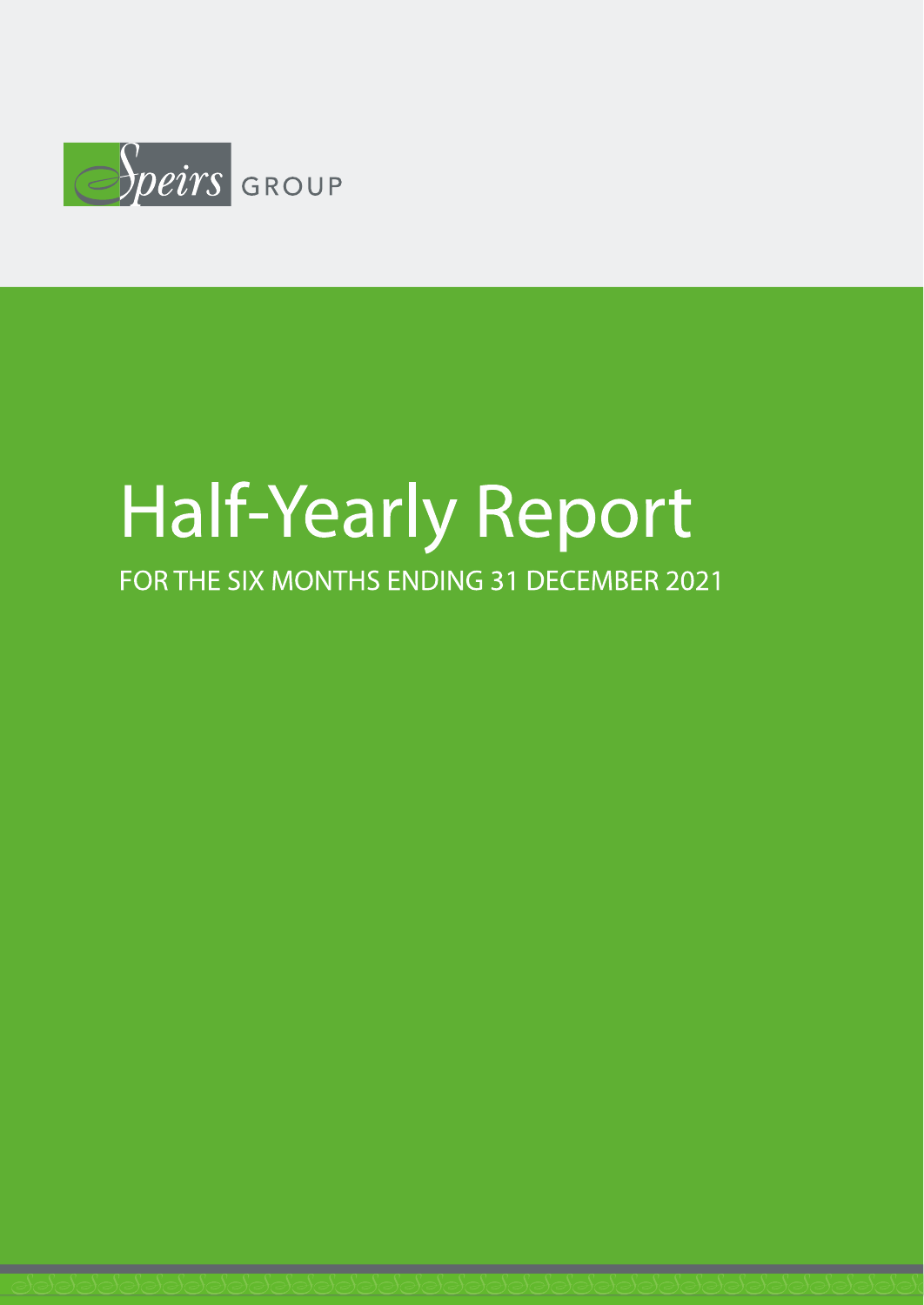

# **Half-Yearly Report**

FOR THE SIX MONTHS ENDING 31 DECEMBER 2021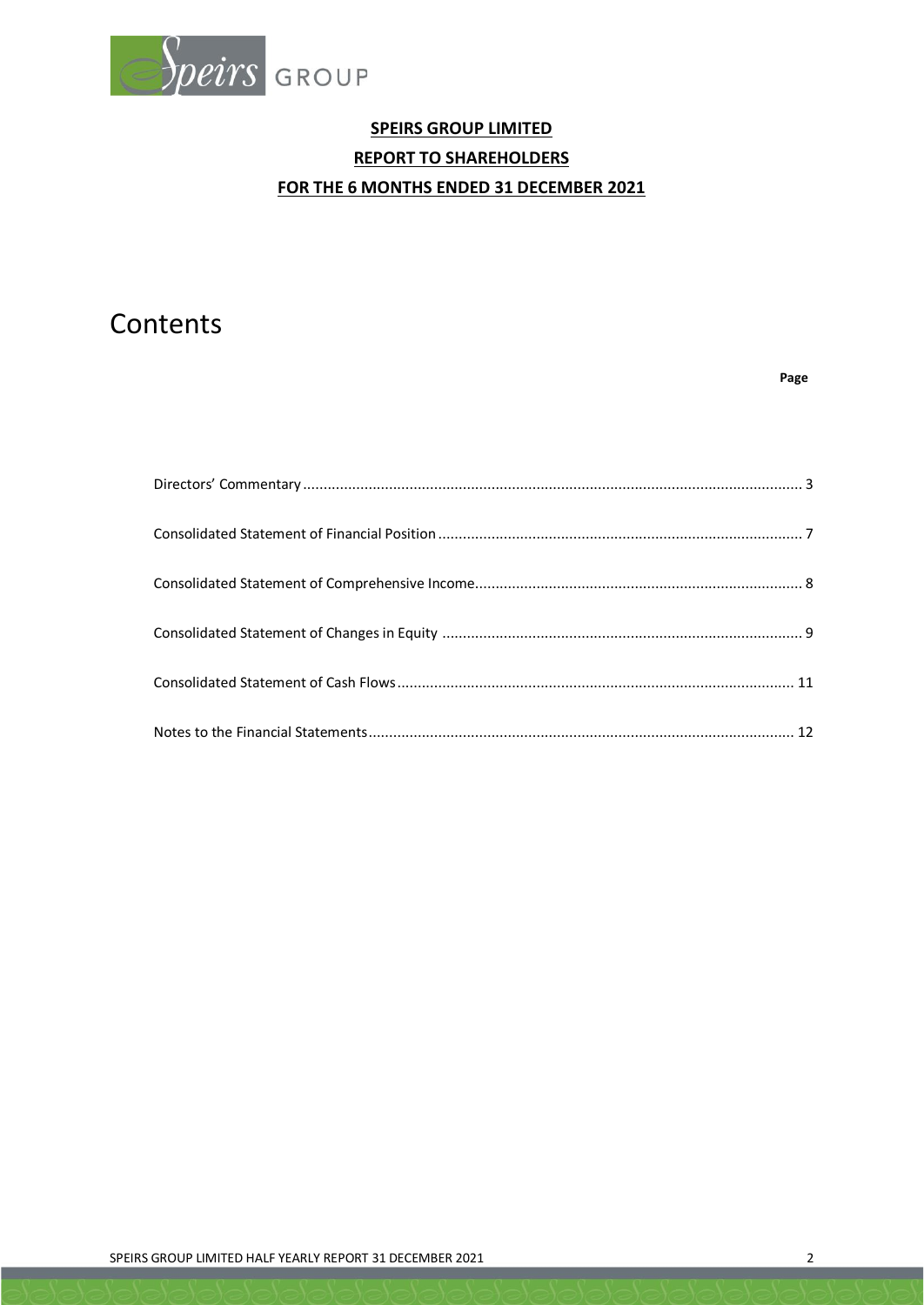

# **SPEIRS GROUP LIMITED REPORT TO SHAREHOLDERS FOR THE 6 MONTHS ENDED 31 DECEMBER 2021**

# Contents

#### **Page**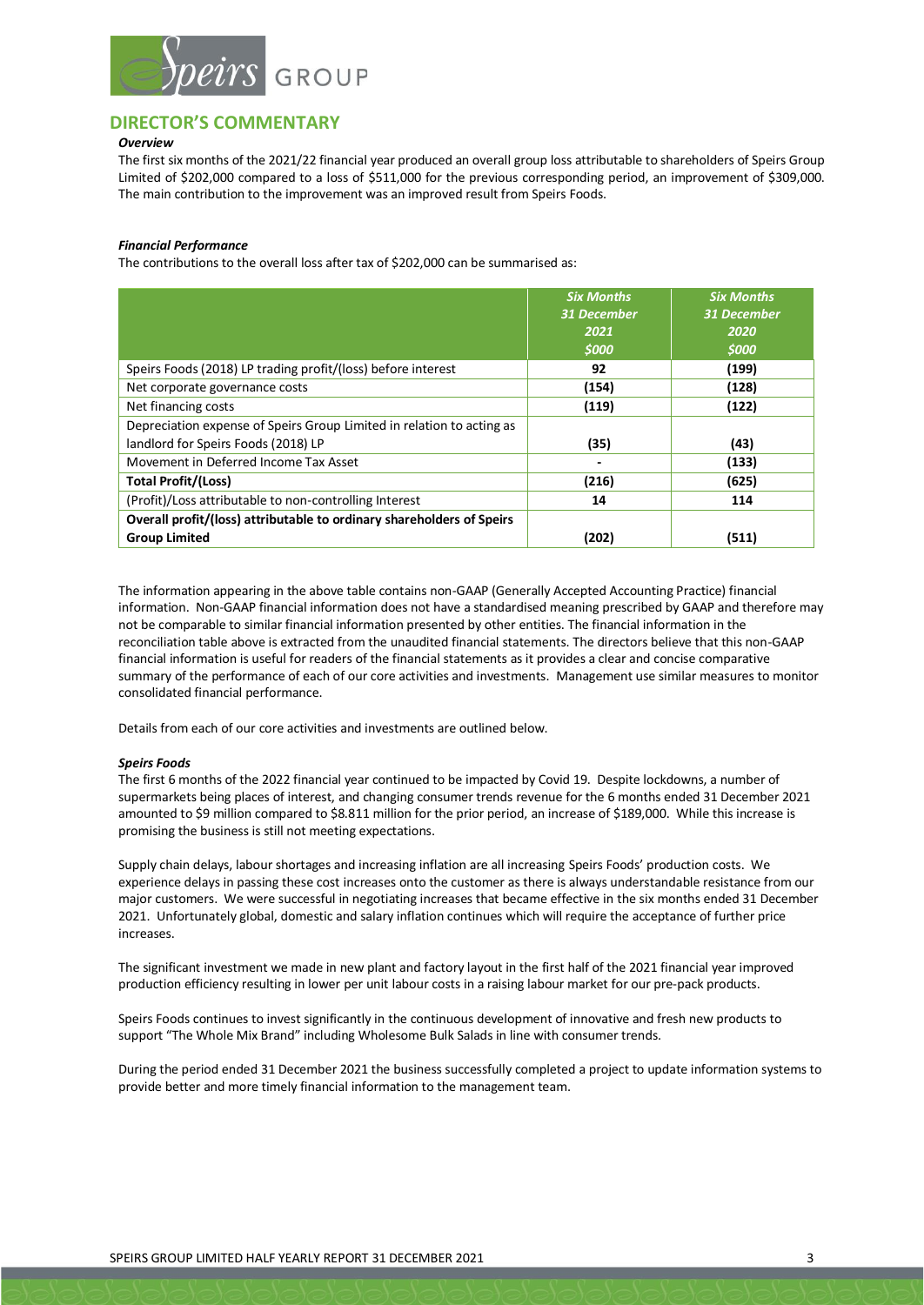

#### **DIRECTOR'S COMMENTARY**

#### *Overview*

The first six months of the 2021/22 financial year produced an overall group loss attributable to shareholders of Speirs Group Limited of \$202,000 compared to a loss of \$511,000 for the previous corresponding period, an improvement of \$309,000. The main contribution to the improvement was an improved result from Speirs Foods.

#### *Financial Performance*

The contributions to the overall loss after tax of \$202,000 can be summarised as:

|                                                                       | <b>Six Months</b><br><b>31 December</b><br>2021 | <b>Six Months</b><br><b>31 December</b><br>2020 |
|-----------------------------------------------------------------------|-------------------------------------------------|-------------------------------------------------|
|                                                                       | \$000                                           | <b>SOOO</b>                                     |
| Speirs Foods (2018) LP trading profit/(loss) before interest          | 92                                              | (199)                                           |
| Net corporate governance costs                                        | (154)                                           | (128)                                           |
| Net financing costs                                                   | (119)                                           | (122)                                           |
| Depreciation expense of Speirs Group Limited in relation to acting as |                                                 |                                                 |
| landlord for Speirs Foods (2018) LP                                   | (35)                                            | (43)                                            |
| Movement in Deferred Income Tax Asset                                 |                                                 | (133)                                           |
| <b>Total Profit/(Loss)</b>                                            | (216)                                           | (625)                                           |
| (Profit)/Loss attributable to non-controlling Interest                | 14                                              | 114                                             |
| Overall profit/(loss) attributable to ordinary shareholders of Speirs |                                                 |                                                 |
| <b>Group Limited</b>                                                  | (202)                                           | (511)                                           |

The information appearing in the above table contains non-GAAP (Generally Accepted Accounting Practice) financial information. Non-GAAP financial information does not have a standardised meaning prescribed by GAAP and therefore may not be comparable to similar financial information presented by other entities. The financial information in the reconciliation table above is extracted from the unaudited financial statements. The directors believe that this non-GAAP financial information is useful for readers of the financial statements as it provides a clear and concise comparative summary of the performance of each of our core activities and investments. Management use similar measures to monitor consolidated financial performance.

Details from each of our core activities and investments are outlined below.

#### *Speirs Foods*

The first 6 months of the 2022 financial year continued to be impacted by Covid 19. Despite lockdowns, a number of supermarkets being places of interest, and changing consumer trends revenue for the 6 months ended 31 December 2021 amounted to \$9 million compared to \$8.811 million for the prior period, an increase of \$189,000. While this increase is promising the business is still not meeting expectations.

Supply chain delays, labour shortages and increasing inflation are all increasing Speirs Foods' production costs. We experience delays in passing these cost increases onto the customer as there is always understandable resistance from our major customers. We were successful in negotiating increases that became effective in the six months ended 31 December 2021. Unfortunately global, domestic and salary inflation continues which will require the acceptance of further price increases.

The significant investment we made in new plant and factory layout in the first half of the 2021 financial year improved production efficiency resulting in lower per unit labour costs in a raising labour market for our pre-pack products.

Speirs Foods continues to invest significantly in the continuous development of innovative and fresh new products to support "The Whole Mix Brand" including Wholesome Bulk Salads in line with consumer trends.

During the period ended 31 December 2021 the business successfully completed a project to update information systems to provide better and more timely financial information to the management team.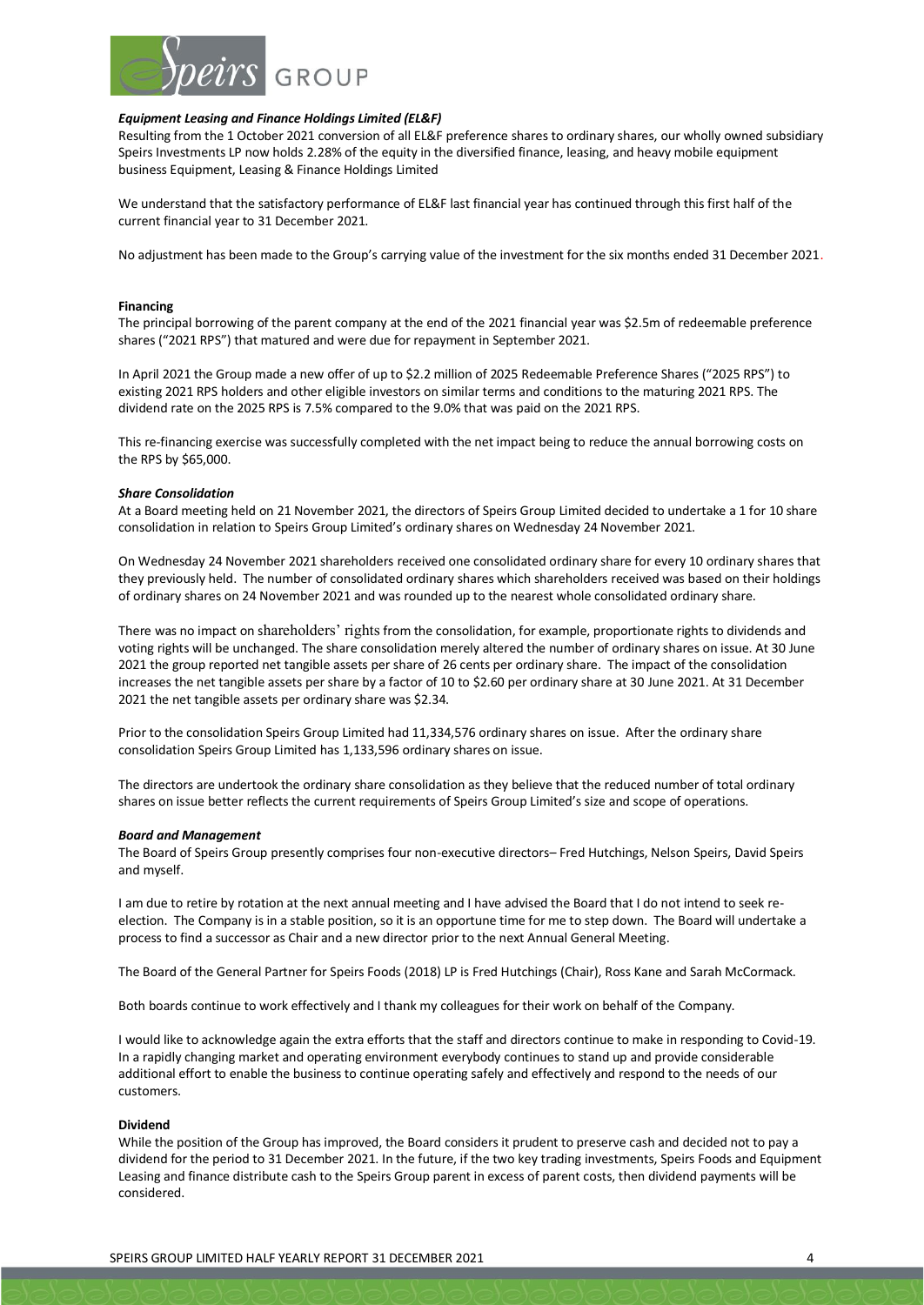

#### *Equipment Leasing and Finance Holdings Limited (EL&F)*

Resulting from the 1 October 2021 conversion of all EL&F preference shares to ordinary shares, our wholly owned subsidiary Speirs Investments LP now holds 2.28% of the equity in the diversified finance, leasing, and heavy mobile equipment business Equipment, Leasing & Finance Holdings Limited

We understand that the satisfactory performance of EL&F last financial year has continued through this first half of the current financial year to 31 December 2021.

No adjustment has been made to the Group's carrying value of the investment for the six months ended 31 December 2021.

#### **Financing**

The principal borrowing of the parent company at the end of the 2021 financial year was \$2.5m of redeemable preference shares ("2021 RPS") that matured and were due for repayment in September 2021.

In April 2021 the Group made a new offer of up to \$2.2 million of 2025 Redeemable Preference Shares ("2025 RPS") to existing 2021 RPS holders and other eligible investors on similar terms and conditions to the maturing 2021 RPS. The dividend rate on the 2025 RPS is 7.5% compared to the 9.0% that was paid on the 2021 RPS.

This re-financing exercise was successfully completed with the net impact being to reduce the annual borrowing costs on the RPS by \$65,000.

#### *Share Consolidation*

At a Board meeting held on 21 November 2021, the directors of Speirs Group Limited decided to undertake a 1 for 10 share consolidation in relation to Speirs Group Limited's ordinary shares on Wednesday 24 November 2021.

On Wednesday 24 November 2021 shareholders received one consolidated ordinary share for every 10 ordinary shares that they previously held. The number of consolidated ordinary shares which shareholders received was based on their holdings of ordinary shares on 24 November 2021 and was rounded up to the nearest whole consolidated ordinary share.

There was no impact on s[hareholders' rights](https://www.informdirect.co.uk/shares/shareholders-rights-guide/) from the consolidation, for example, proportionate rights to dividends and voting rights will be unchanged. The share consolidation merely altered the number of ordinary shares on issue. At 30 June 2021 the group reported net tangible assets per share of 26 cents per ordinary share. The impact of the consolidation increases the net tangible assets per share by a factor of 10 to \$2.60 per ordinary share at 30 June 2021. At 31 December 2021 the net tangible assets per ordinary share was \$2.34.

Prior to the consolidation Speirs Group Limited had 11,334,576 ordinary shares on issue. After the ordinary share consolidation Speirs Group Limited has 1,133,596 ordinary shares on issue.

The directors are undertook the ordinary share consolidation as they believe that the reduced number of total ordinary shares on issue better reflects the current requirements of Speirs Group Limited's size and scope of operations.

#### *Board and Management*

The Board of Speirs Group presently comprises four non-executive directors– Fred Hutchings, Nelson Speirs, David Speirs and myself.

I am due to retire by rotation at the next annual meeting and I have advised the Board that I do not intend to seek reelection. The Company is in a stable position, so it is an opportune time for me to step down. The Board will undertake a process to find a successor as Chair and a new director prior to the next Annual General Meeting.

The Board of the General Partner for Speirs Foods (2018) LP is Fred Hutchings (Chair), Ross Kane and Sarah McCormack.

Both boards continue to work effectively and I thank my colleagues for their work on behalf of the Company.

I would like to acknowledge again the extra efforts that the staff and directors continue to make in responding to Covid-19. In a rapidly changing market and operating environment everybody continues to stand up and provide considerable additional effort to enable the business to continue operating safely and effectively and respond to the needs of our customers.

#### **Dividend**

While the position of the Group has improved, the Board considers it prudent to preserve cash and decided not to pay a dividend for the period to 31 December 2021. In the future, if the two key trading investments, Speirs Foods and Equipment Leasing and finance distribute cash to the Speirs Group parent in excess of parent costs, then dividend payments will be considered.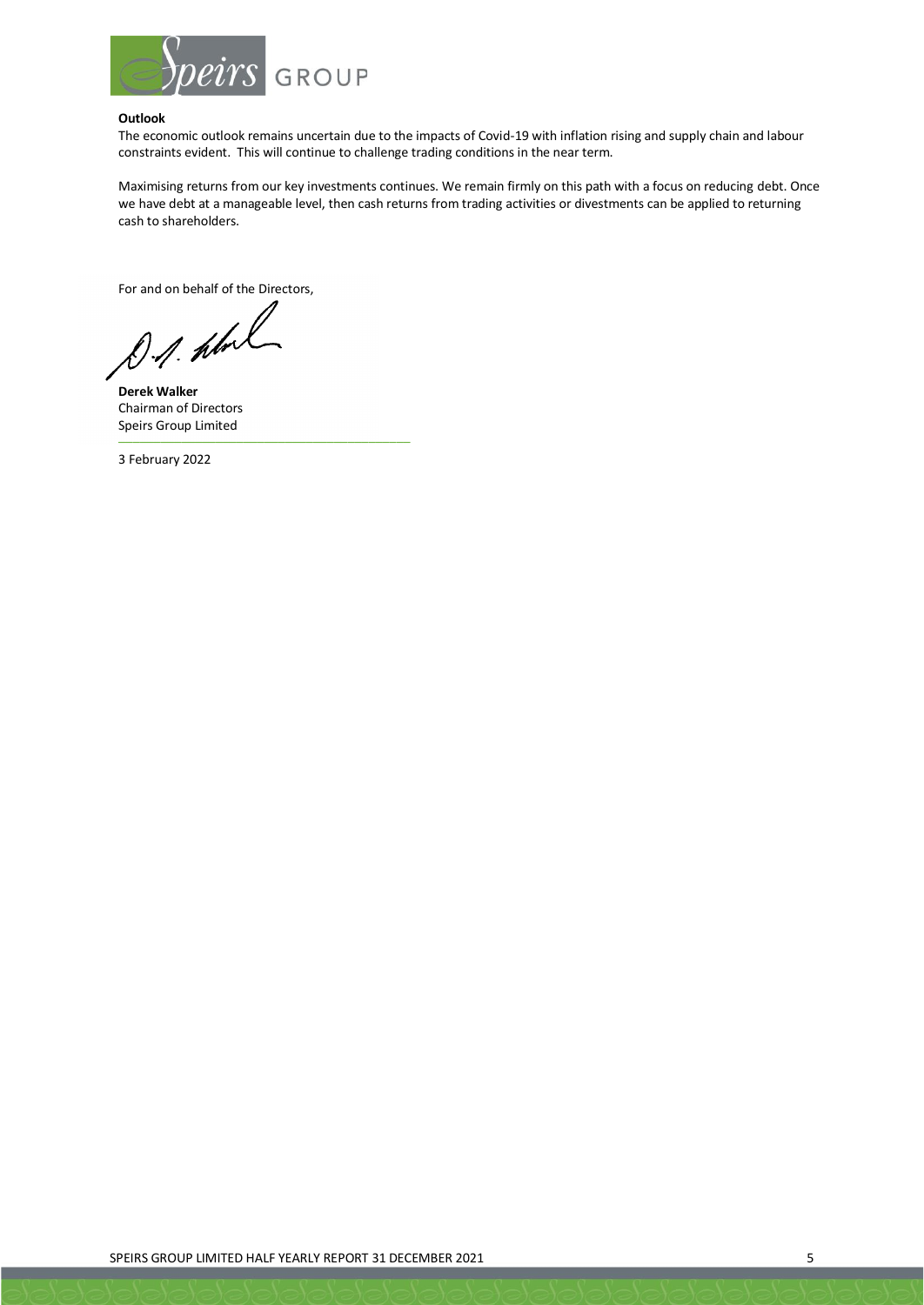

#### **Outlook**

The economic outlook remains uncertain due to the impacts of Covid-19 with inflation rising and supply chain and labour constraints evident. This will continue to challenge trading conditions in the near term.

Maximising returns from our key investments continues. We remain firmly on this path with a focus on reducing debt. Once we have debt at a manageable level, then cash returns from trading activities or divestments can be applied to returning cash to shareholders.

For and on behalf of the Directors,

––––––––––––––––––––––––––––––––––––––––––

D.A. hbol

**Derek Walker** Chairman of Directors Speirs Group Limited

3 February 2022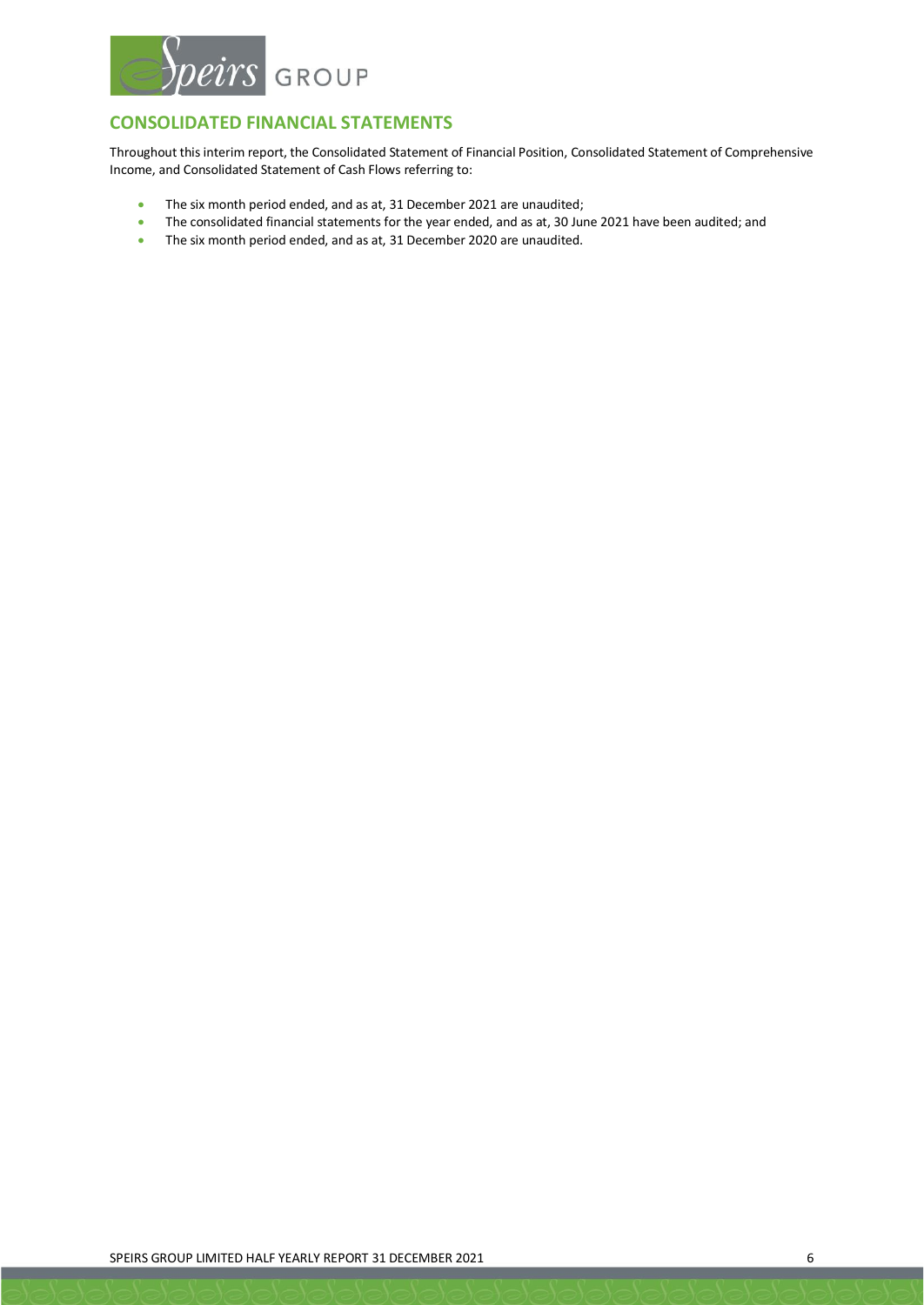

# **CONSOLIDATED FINANCIAL STATEMENTS**

Throughout this interim report, the Consolidated Statement of Financial Position, Consolidated Statement of Comprehensive Income, and Consolidated Statement of Cash Flows referring to:

- The six month period ended, and as at, 31 December 2021 are unaudited;
- The consolidated financial statements for the year ended, and as at, 30 June 2021 have been audited; and
- The six month period ended, and as at, 31 December 2020 are unaudited.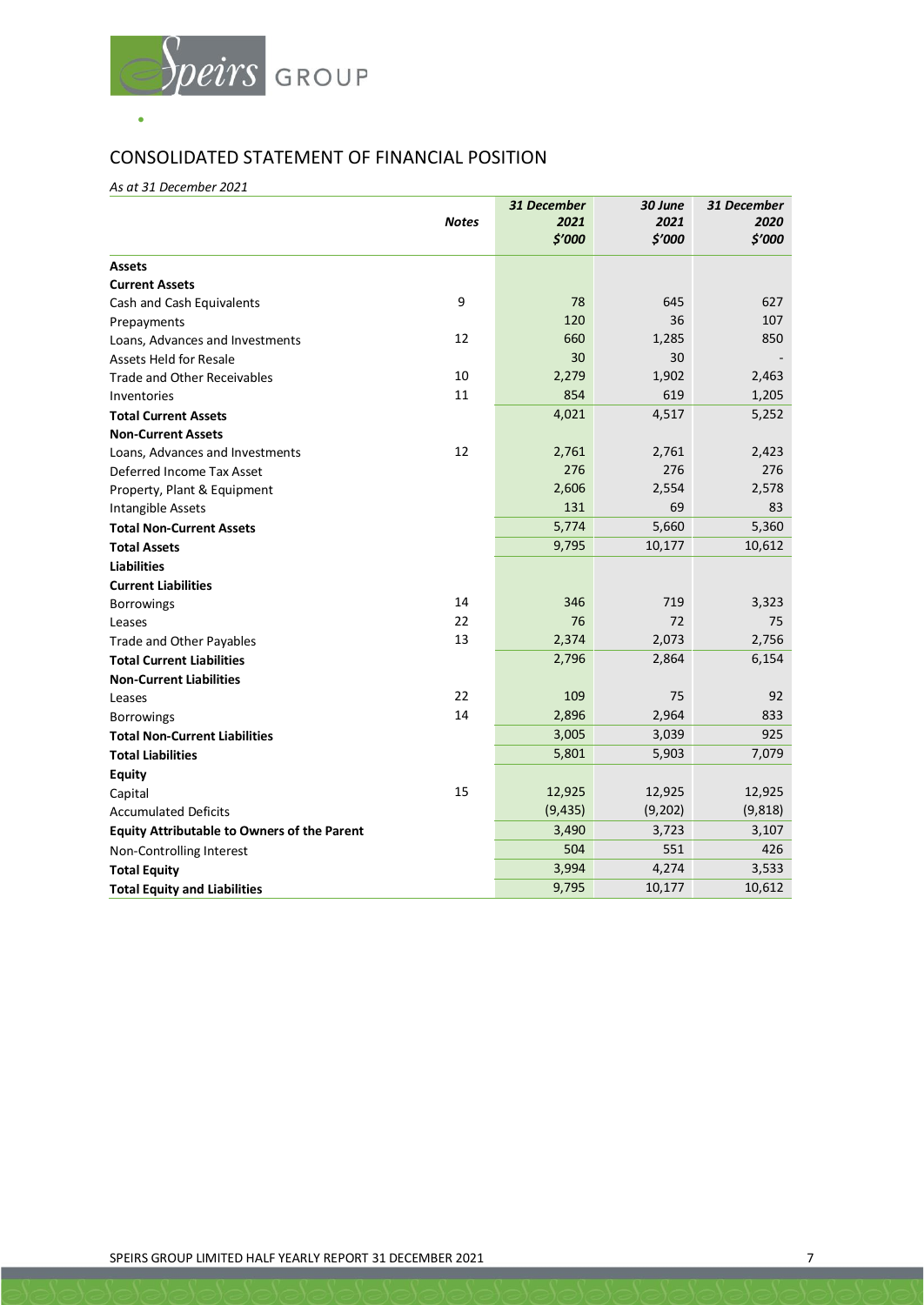

# CONSOLIDATED STATEMENT OF FINANCIAL POSITION

*As at 31 December 2021*

|                                                    | <b>Notes</b> | 31 December<br>2021 | 30 June<br>2021 | 31 December<br>2020 |
|----------------------------------------------------|--------------|---------------------|-----------------|---------------------|
|                                                    |              | \$7000              | \$'000          | \$'000              |
| <b>Assets</b>                                      |              |                     |                 |                     |
| <b>Current Assets</b>                              |              |                     |                 |                     |
| Cash and Cash Equivalents                          | 9            | 78                  | 645             | 627                 |
| Prepayments                                        |              | 120                 | 36              | 107                 |
| Loans, Advances and Investments                    | 12           | 660                 | 1,285           | 850                 |
| <b>Assets Held for Resale</b>                      |              | 30                  | 30              |                     |
| <b>Trade and Other Receivables</b>                 | 10           | 2,279               | 1,902           | 2,463               |
| Inventories                                        | 11           | 854                 | 619             | 1,205               |
| <b>Total Current Assets</b>                        |              | 4,021               | 4,517           | 5,252               |
| <b>Non-Current Assets</b>                          |              |                     |                 |                     |
| Loans, Advances and Investments                    | 12           | 2,761               | 2,761           | 2,423               |
| Deferred Income Tax Asset                          |              | 276                 | 276             | 276                 |
| Property, Plant & Equipment                        |              | 2,606               | 2,554           | 2,578               |
| Intangible Assets                                  |              | 131                 | 69              | 83                  |
| <b>Total Non-Current Assets</b>                    |              | 5,774               | 5,660           | 5,360               |
| <b>Total Assets</b>                                |              | 9,795               | 10,177          | 10,612              |
| <b>Liabilities</b>                                 |              |                     |                 |                     |
| <b>Current Liabilities</b>                         |              |                     |                 |                     |
| Borrowings                                         | 14           | 346                 | 719             | 3,323               |
| Leases                                             | 22           | 76                  | 72              | 75                  |
| Trade and Other Payables                           | 13           | 2,374               | 2,073           | 2,756               |
| <b>Total Current Liabilities</b>                   |              | 2,796               | 2,864           | 6,154               |
| <b>Non-Current Liabilities</b>                     |              |                     |                 |                     |
| Leases                                             | 22           | 109                 | 75              | 92                  |
| <b>Borrowings</b>                                  | 14           | 2,896               | 2,964           | 833                 |
| <b>Total Non-Current Liabilities</b>               |              | 3,005               | 3,039           | 925                 |
| <b>Total Liabilities</b>                           |              | 5,801               | 5,903           | 7,079               |
| <b>Equity</b>                                      |              |                     |                 |                     |
| Capital                                            | 15           | 12,925              | 12,925          | 12,925              |
| <b>Accumulated Deficits</b>                        |              | (9, 435)            | (9, 202)        | (9, 818)            |
| <b>Equity Attributable to Owners of the Parent</b> |              | 3,490               | 3,723           | 3,107               |
| Non-Controlling Interest                           |              | 504                 | 551             | 426                 |
| <b>Total Equity</b>                                |              | 3,994               | 4,274           | 3,533               |
| <b>Total Equity and Liabilities</b>                |              | 9,795               | 10,177          | 10,612              |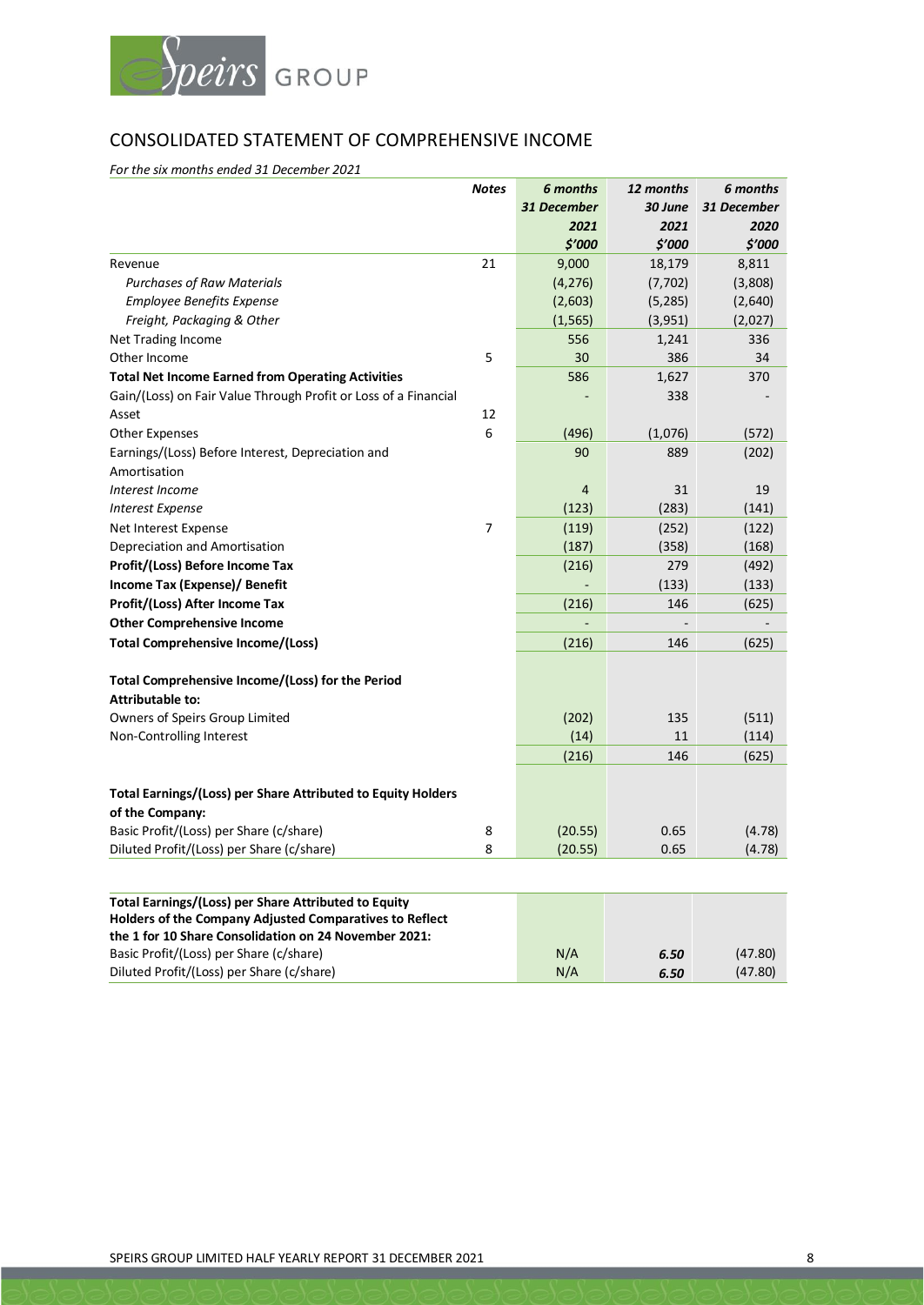

# CONSOLIDATED STATEMENT OF COMPREHENSIVE INCOME

*For the six months ended 31 December 2021*

|                                                                 | <b>Notes</b> | 6 months       | 12 months | 6 months    |
|-----------------------------------------------------------------|--------------|----------------|-----------|-------------|
|                                                                 |              | 31 December    | 30 June   | 31 December |
|                                                                 |              | 2021           | 2021      | 2020        |
|                                                                 |              | \$'000         | \$′000    | \$'000      |
| Revenue                                                         | 21           | 9,000          | 18,179    | 8,811       |
| <b>Purchases of Raw Materials</b>                               |              | (4, 276)       | (7, 702)  | (3,808)     |
| <b>Employee Benefits Expense</b>                                |              | (2,603)        | (5, 285)  | (2,640)     |
| Freight, Packaging & Other                                      |              | (1, 565)       | (3, 951)  | (2,027)     |
| Net Trading Income                                              |              | 556            | 1,241     | 336         |
| Other Income                                                    | 5            | 30             | 386       | 34          |
| <b>Total Net Income Earned from Operating Activities</b>        |              | 586            | 1,627     | 370         |
| Gain/(Loss) on Fair Value Through Profit or Loss of a Financial |              |                | 338       |             |
| Asset                                                           | 12           |                |           |             |
| <b>Other Expenses</b>                                           | 6            | (496)          | (1,076)   | (572)       |
| Earnings/(Loss) Before Interest, Depreciation and               |              | 90             | 889       | (202)       |
| Amortisation                                                    |              |                |           |             |
| Interest Income                                                 |              | $\overline{4}$ | 31        | 19          |
| <b>Interest Expense</b>                                         |              | (123)          | (283)     | (141)       |
| Net Interest Expense                                            | 7            | (119)          | (252)     | (122)       |
| Depreciation and Amortisation                                   |              | (187)          | (358)     | (168)       |
| Profit/(Loss) Before Income Tax                                 |              | (216)          | 279       | (492)       |
| <b>Income Tax (Expense)/ Benefit</b>                            |              |                | (133)     | (133)       |
| Profit/(Loss) After Income Tax                                  |              | (216)          | 146       | (625)       |
| <b>Other Comprehensive Income</b>                               |              |                |           |             |
| <b>Total Comprehensive Income/(Loss)</b>                        |              | (216)          | 146       | (625)       |
| Total Comprehensive Income/(Loss) for the Period                |              |                |           |             |
| <b>Attributable to:</b>                                         |              |                |           |             |
| Owners of Speirs Group Limited                                  |              | (202)          | 135       | (511)       |
| Non-Controlling Interest                                        |              | (14)           | 11        | (114)       |
|                                                                 |              | (216)          | 146       | (625)       |
| Total Earnings/(Loss) per Share Attributed to Equity Holders    |              |                |           |             |
| of the Company:                                                 |              |                |           |             |
| Basic Profit/(Loss) per Share (c/share)                         | 8            | (20.55)        | 0.65      | (4.78)      |
| Diluted Profit/(Loss) per Share (c/share)                       | 8            | (20.55)        | 0.65      | (4.78)      |
|                                                                 |              |                |           |             |
| <b>Total Earnings/(Loss) per Share Attributed to Equity</b>     |              |                |           |             |

| N/A | 6.50 | (47.80) |
|-----|------|---------|
| N/A | 6.50 | (47.80) |
|     |      |         |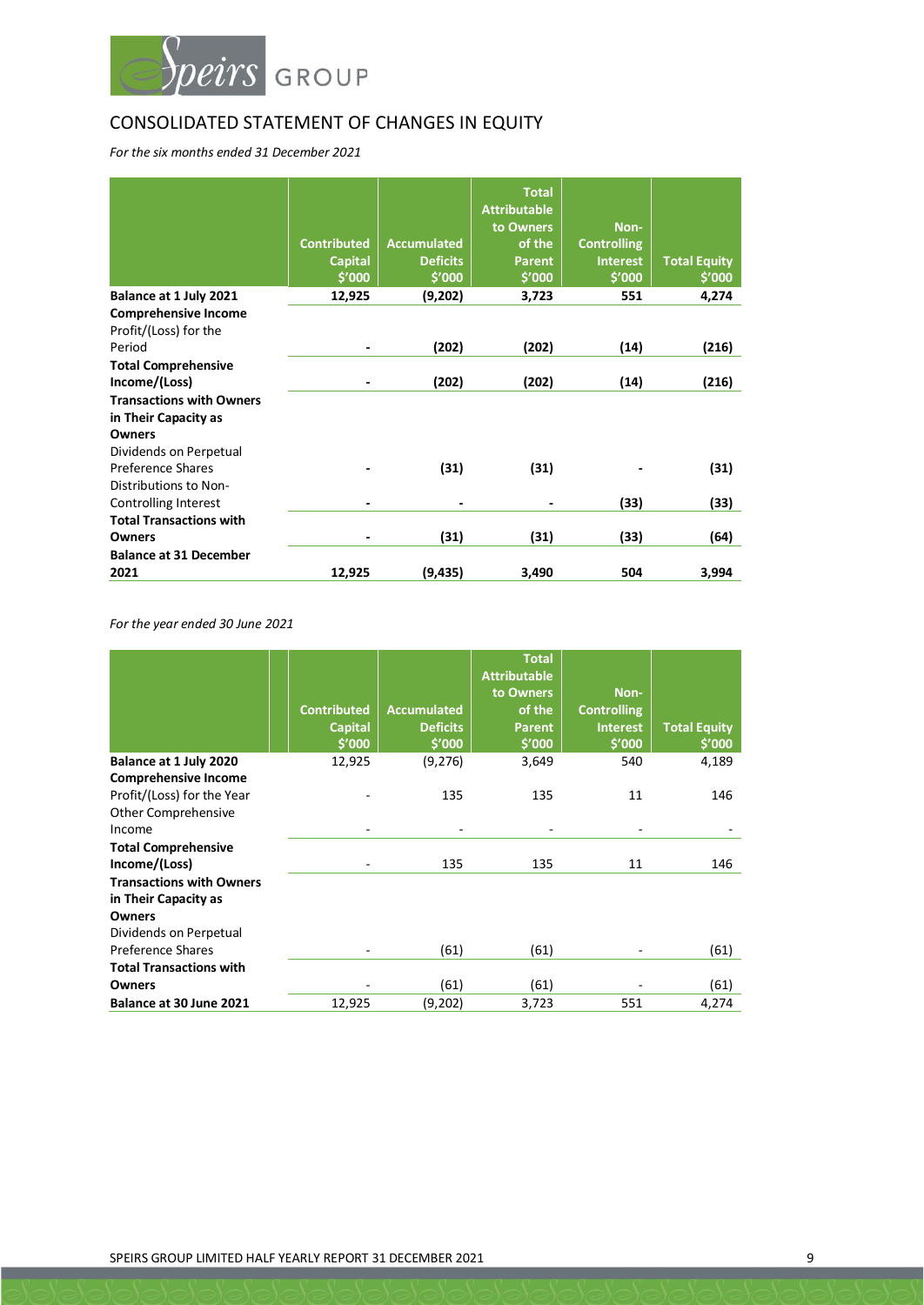

# CONSOLIDATED STATEMENT OF CHANGES IN EQUITY

*For the six months ended 31 December 2021*

|                                 |                          |                    | <b>Total</b><br><b>Attributable</b><br>to Owners | Non-               |                     |
|---------------------------------|--------------------------|--------------------|--------------------------------------------------|--------------------|---------------------|
|                                 | <b>Contributed</b>       | <b>Accumulated</b> | of the                                           | <b>Controlling</b> |                     |
|                                 | <b>Capital</b>           | <b>Deficits</b>    | <b>Parent</b>                                    | <b>Interest</b>    | <b>Total Equity</b> |
|                                 | \$'000                   | \$'000             | \$′000                                           | \$′000             | \$'000              |
| Balance at 1 July 2021          | 12,925                   | (9,202)            | 3,723                                            | 551                | 4,274               |
| <b>Comprehensive Income</b>     |                          |                    |                                                  |                    |                     |
| Profit/(Loss) for the           |                          |                    |                                                  |                    |                     |
| Period                          |                          | (202)              | (202)                                            | (14)               | (216)               |
| <b>Total Comprehensive</b>      |                          |                    |                                                  |                    |                     |
| Income/(Loss)                   |                          | (202)              | (202)                                            | (14)               | (216)               |
| <b>Transactions with Owners</b> |                          |                    |                                                  |                    |                     |
| in Their Capacity as            |                          |                    |                                                  |                    |                     |
| <b>Owners</b>                   |                          |                    |                                                  |                    |                     |
| Dividends on Perpetual          |                          |                    |                                                  |                    |                     |
| Preference Shares               |                          | (31)               | (31)                                             |                    | (31)                |
| Distributions to Non-           |                          |                    |                                                  |                    |                     |
| Controlling Interest            | $\overline{\phantom{0}}$ | ٠                  | -                                                | (33)               | (33)                |
| <b>Total Transactions with</b>  |                          |                    |                                                  |                    |                     |
| Owners                          |                          | (31)               | (31)                                             | (33)               | (64)                |
| <b>Balance at 31 December</b>   |                          |                    |                                                  |                    |                     |
| 2021                            | 12,925                   | (9, 435)           | 3,490                                            | 504                | 3,994               |

*For the year ended 30 June 2021*

|                                                                                            | <b>Contributed</b><br><b>Capital</b><br>\$′000 | <b>Accumulated</b><br><b>Deficits</b><br>\$'000 | <b>Total</b><br><b>Attributable</b><br>to Owners<br>of the<br><b>Parent</b><br>\$'000 | Non-<br><b>Controlling</b><br><b>Interest</b><br>\$′000 | <b>Total Equity</b><br>\$′000 |
|--------------------------------------------------------------------------------------------|------------------------------------------------|-------------------------------------------------|---------------------------------------------------------------------------------------|---------------------------------------------------------|-------------------------------|
| Balance at 1 July 2020                                                                     | 12,925                                         | (9, 276)                                        | 3,649                                                                                 | 540                                                     | 4,189                         |
| <b>Comprehensive Income</b><br>Profit/(Loss) for the Year<br>Other Comprehensive<br>Income | $\overline{\phantom{a}}$                       | 135                                             | 135<br>$\overline{\phantom{a}}$                                                       | 11                                                      | 146                           |
| <b>Total Comprehensive</b>                                                                 |                                                |                                                 |                                                                                       |                                                         |                               |
| Income/(Loss)                                                                              |                                                | 135                                             | 135                                                                                   | 11                                                      | 146                           |
| <b>Transactions with Owners</b><br>in Their Capacity as<br><b>Owners</b>                   |                                                |                                                 |                                                                                       |                                                         |                               |
| Dividends on Perpetual                                                                     |                                                |                                                 |                                                                                       |                                                         |                               |
| Preference Shares                                                                          |                                                | (61)                                            | (61)                                                                                  |                                                         | (61)                          |
| <b>Total Transactions with</b>                                                             |                                                |                                                 |                                                                                       |                                                         |                               |
| Owners                                                                                     |                                                | (61)                                            | (61)                                                                                  |                                                         | (61)                          |
| Balance at 30 June 2021                                                                    | 12,925                                         | (9,202)                                         | 3,723                                                                                 | 551                                                     | 4,274                         |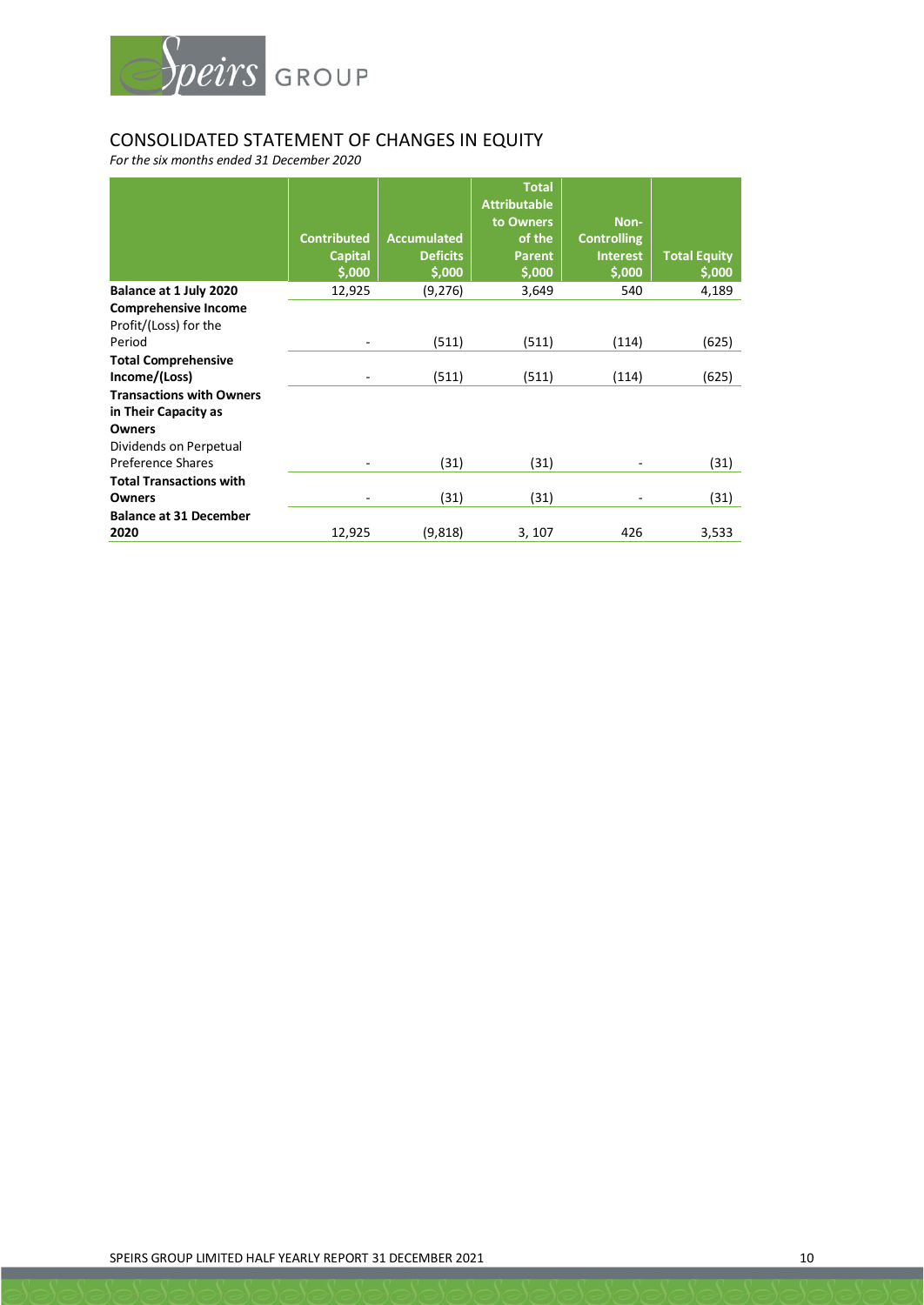

# CONSOLIDATED STATEMENT OF CHANGES IN EQUITY

*For the six months ended 31 December 2020*

|                                                                          | <b>Contributed</b><br><b>Capital</b><br>\$,000 | <b>Accumulated</b><br><b>Deficits</b><br>\$,000 | <b>Total</b><br><b>Attributable</b><br>to Owners<br>of the<br><b>Parent</b><br>\$,000 | Non-<br><b>Controlling</b><br><b>Interest</b><br>\$,000 | <b>Total Equity</b><br>\$,000 |
|--------------------------------------------------------------------------|------------------------------------------------|-------------------------------------------------|---------------------------------------------------------------------------------------|---------------------------------------------------------|-------------------------------|
| Balance at 1 July 2020                                                   | 12,925                                         | (9, 276)                                        | 3,649                                                                                 | 540                                                     | 4,189                         |
| <b>Comprehensive Income</b><br>Profit/(Loss) for the                     |                                                |                                                 |                                                                                       |                                                         |                               |
| Period                                                                   |                                                | (511)                                           | (511)                                                                                 | (114)                                                   | (625)                         |
| <b>Total Comprehensive</b><br>Income/(Loss)                              |                                                | (511)                                           | (511)                                                                                 | (114)                                                   | (625)                         |
| <b>Transactions with Owners</b><br>in Their Capacity as<br><b>Owners</b> |                                                |                                                 |                                                                                       |                                                         |                               |
| Dividends on Perpetual                                                   |                                                |                                                 |                                                                                       |                                                         |                               |
| Preference Shares                                                        |                                                | (31)                                            | (31)                                                                                  |                                                         | (31)                          |
| <b>Total Transactions with</b>                                           |                                                |                                                 |                                                                                       |                                                         |                               |
| Owners                                                                   |                                                | (31)                                            | (31)                                                                                  |                                                         | (31)                          |
| <b>Balance at 31 December</b>                                            |                                                |                                                 |                                                                                       |                                                         |                               |
| 2020                                                                     | 12,925                                         | (9,818)                                         | 3, 107                                                                                | 426                                                     | 3,533                         |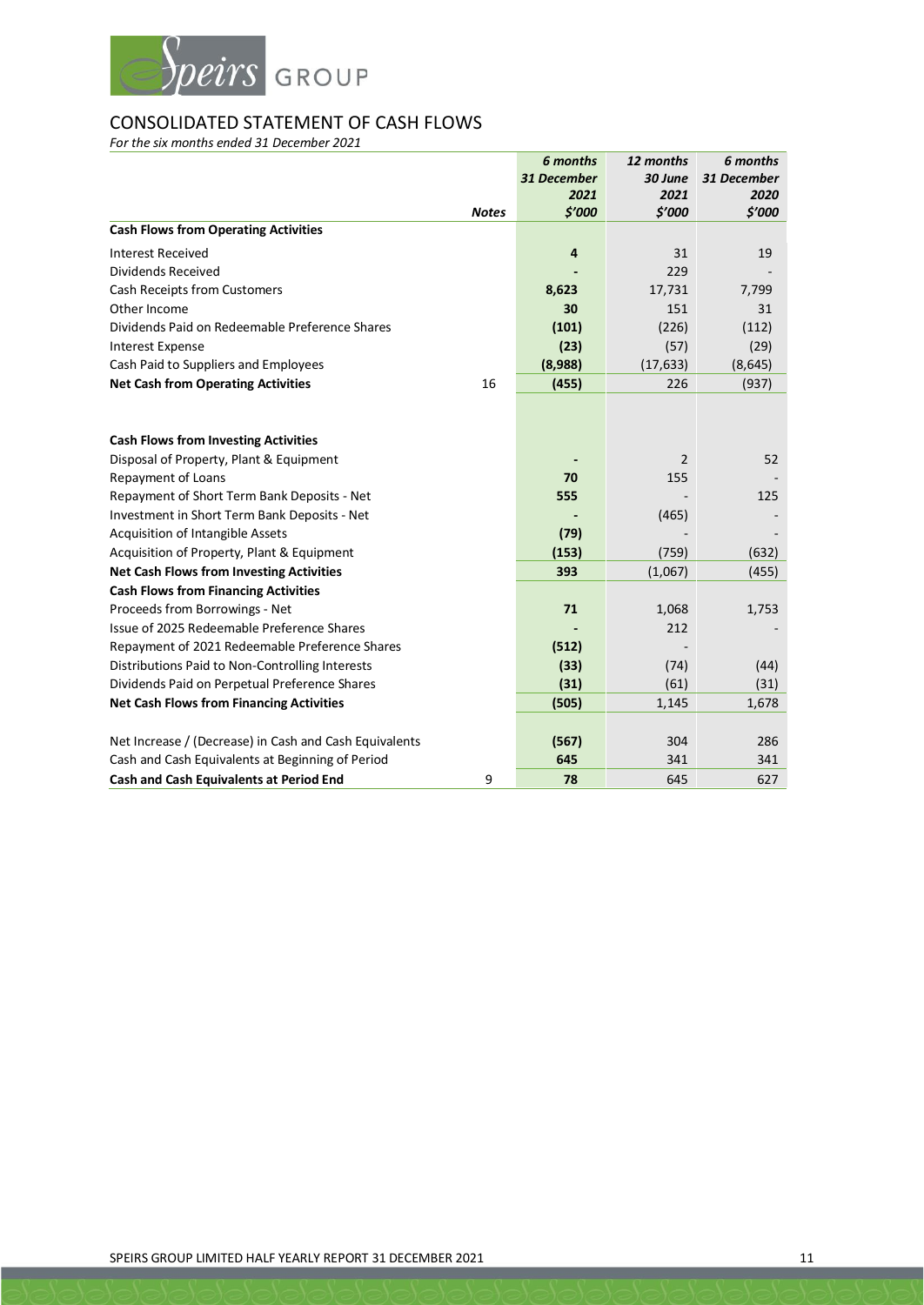

# CONSOLIDATED STATEMENT OF CASH FLOWS

*For the six months ended 31 December 2021*

|                                                        |              | 6 months       | 12 months      | 6 months    |
|--------------------------------------------------------|--------------|----------------|----------------|-------------|
|                                                        |              | 31 December    | 30 June        | 31 December |
|                                                        |              | 2021           | 2021           | 2020        |
|                                                        | <b>Notes</b> | \$'000         | \$'000         | \$'000      |
| <b>Cash Flows from Operating Activities</b>            |              |                |                |             |
| <b>Interest Received</b>                               |              | $\overline{4}$ | 31             | 19          |
| Dividends Received                                     |              |                | 229            |             |
| Cash Receipts from Customers                           |              | 8,623          | 17,731         | 7,799       |
| Other Income                                           |              | 30             | 151            | 31          |
| Dividends Paid on Redeemable Preference Shares         |              | (101)          | (226)          | (112)       |
| <b>Interest Expense</b>                                |              | (23)           | (57)           | (29)        |
| Cash Paid to Suppliers and Employees                   |              | (8,988)        | (17, 633)      | (8, 645)    |
| <b>Net Cash from Operating Activities</b>              | 16           | (455)          | 226            | (937)       |
|                                                        |              |                |                |             |
| <b>Cash Flows from Investing Activities</b>            |              |                |                |             |
| Disposal of Property, Plant & Equipment                |              |                | $\overline{2}$ | 52          |
| Repayment of Loans                                     |              | 70             | 155            |             |
| Repayment of Short Term Bank Deposits - Net            |              | 555            |                | 125         |
| Investment in Short Term Bank Deposits - Net           |              |                | (465)          |             |
| Acquisition of Intangible Assets                       |              | (79)           |                |             |
| Acquisition of Property, Plant & Equipment             |              | (153)          | (759)          | (632)       |
| <b>Net Cash Flows from Investing Activities</b>        |              | 393            | (1,067)        | (455)       |
| <b>Cash Flows from Financing Activities</b>            |              |                |                |             |
| Proceeds from Borrowings - Net                         |              | 71             | 1,068          | 1,753       |
| Issue of 2025 Redeemable Preference Shares             |              |                | 212            |             |
| Repayment of 2021 Redeemable Preference Shares         |              | (512)          |                |             |
| Distributions Paid to Non-Controlling Interests        |              | (33)           | (74)           | (44)        |
| Dividends Paid on Perpetual Preference Shares          |              | (31)           | (61)           | (31)        |
| <b>Net Cash Flows from Financing Activities</b>        |              | (505)          | 1,145          | 1,678       |
|                                                        |              |                |                |             |
| Net Increase / (Decrease) in Cash and Cash Equivalents |              | (567)          | 304            | 286         |
| Cash and Cash Equivalents at Beginning of Period       |              | 645            | 341            | 341         |
| Cash and Cash Equivalents at Period End                | 9            | 78             | 645            | 627         |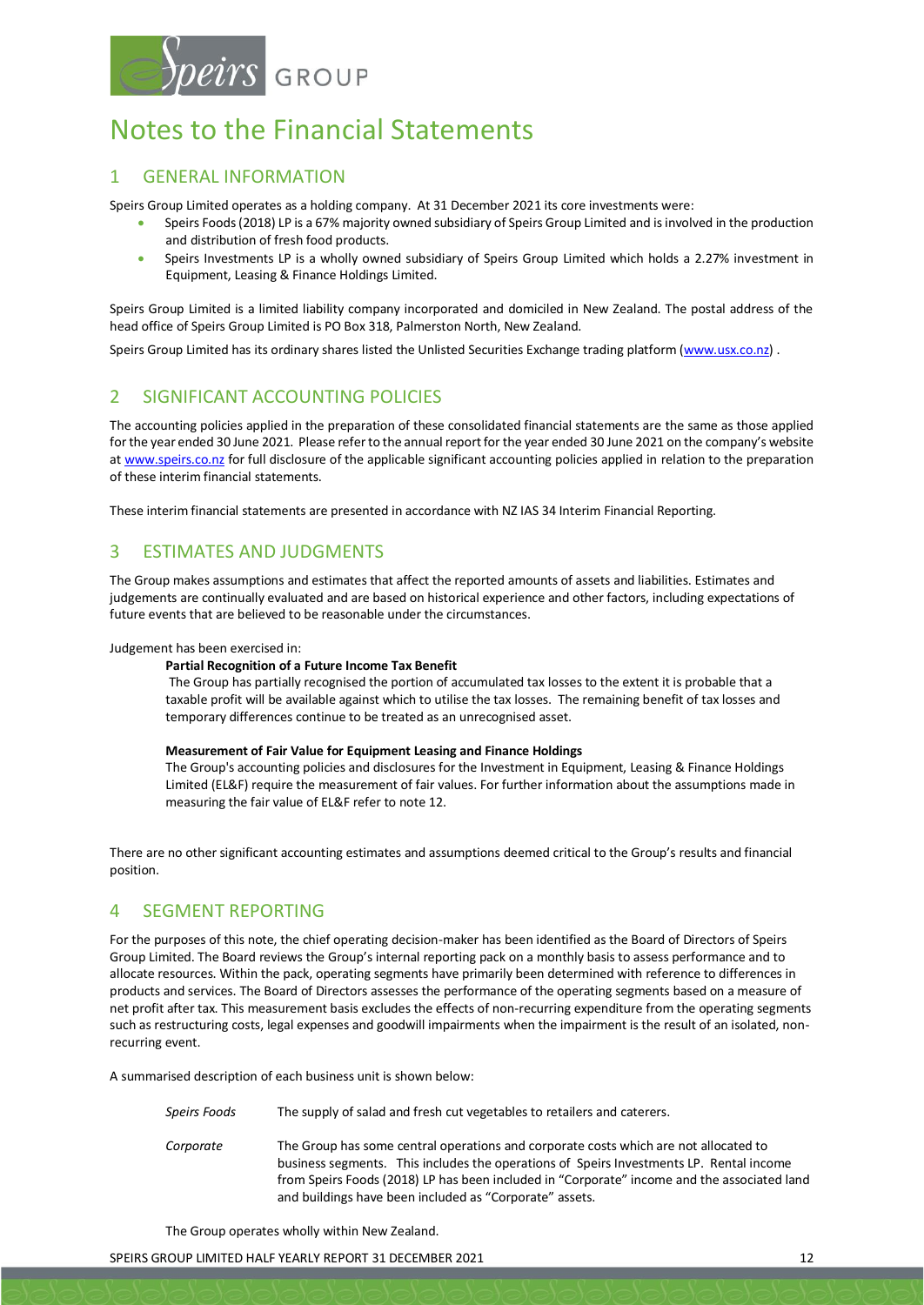

# Notes to the Financial Statements

## 1 GENERAL INFORMATION

Speirs Group Limited operates as a holding company. At 31 December 2021 its core investments were:

- Speirs Foods (2018) LP is a 67% majority owned subsidiary of Speirs Group Limited and is involved in the production and distribution of fresh food products.
- Speirs Investments LP is a wholly owned subsidiary of Speirs Group Limited which holds a 2.27% investment in Equipment, Leasing & Finance Holdings Limited.

Speirs Group Limited is a limited liability company incorporated and domiciled in New Zealand. The postal address of the head office of Speirs Group Limited is PO Box 318, Palmerston North, New Zealand.

Speirs Group Limited has its ordinary shares listed the Unlisted Securities Exchange trading platform [\(www.usx.co.nz\)](http://www.usx.co.nz/).

## 2 SIGNIFICANT ACCOUNTING POLICIES

The accounting policies applied in the preparation of these consolidated financial statements are the same as those applied for the year ended 30 June 2021. Please refer to the annual report for the year ended 30 June 2021 on the company's website a[t www.speirs.co.nz](http://www.speirs.co.nz/) for full disclosure of the applicable significant accounting policies applied in relation to the preparation of these interim financial statements.

These interim financial statements are presented in accordance with NZ IAS 34 Interim Financial Reporting.

## 3 ESTIMATES AND JUDGMENTS

The Group makes assumptions and estimates that affect the reported amounts of assets and liabilities. Estimates and judgements are continually evaluated and are based on historical experience and other factors, including expectations of future events that are believed to be reasonable under the circumstances.

Judgement has been exercised in:

#### **Partial Recognition of a Future Income Tax Benefit**

The Group has partially recognised the portion of accumulated tax losses to the extent it is probable that a taxable profit will be available against which to utilise the tax losses. The remaining benefit of tax losses and temporary differences continue to be treated as an unrecognised asset.

#### **Measurement of Fair Value for Equipment Leasing and Finance Holdings**

The Group's accounting policies and disclosures for the Investment in Equipment, Leasing & Finance Holdings Limited (EL&F) require the measurement of fair values. For further information about the assumptions made in measuring the fair value of EL&F refer to note 12.

There are no other significant accounting estimates and assumptions deemed critical to the Group's results and financial position.

# 4 SEGMENT REPORTING

For the purposes of this note, the chief operating decision-maker has been identified as the Board of Directors of Speirs Group Limited. The Board reviews the Group's internal reporting pack on a monthly basis to assess performance and to allocate resources. Within the pack, operating segments have primarily been determined with reference to differences in products and services. The Board of Directors assesses the performance of the operating segments based on a measure of net profit after tax. This measurement basis excludes the effects of non-recurring expenditure from the operating segments such as restructuring costs, legal expenses and goodwill impairments when the impairment is the result of an isolated, nonrecurring event.

A summarised description of each business unit is shown below:

| Speirs Foods | The supply of salad and fresh cut vegetables to retailers and caterers.                                                                                                                                                                                                                                                                   |
|--------------|-------------------------------------------------------------------------------------------------------------------------------------------------------------------------------------------------------------------------------------------------------------------------------------------------------------------------------------------|
| Corporate    | The Group has some central operations and corporate costs which are not allocated to<br>business segments. This includes the operations of Speirs Investments LP. Rental income<br>from Speirs Foods (2018) LP has been included in "Corporate" income and the associated land<br>and buildings have been included as "Corporate" assets. |

The Group operates wholly within New Zealand.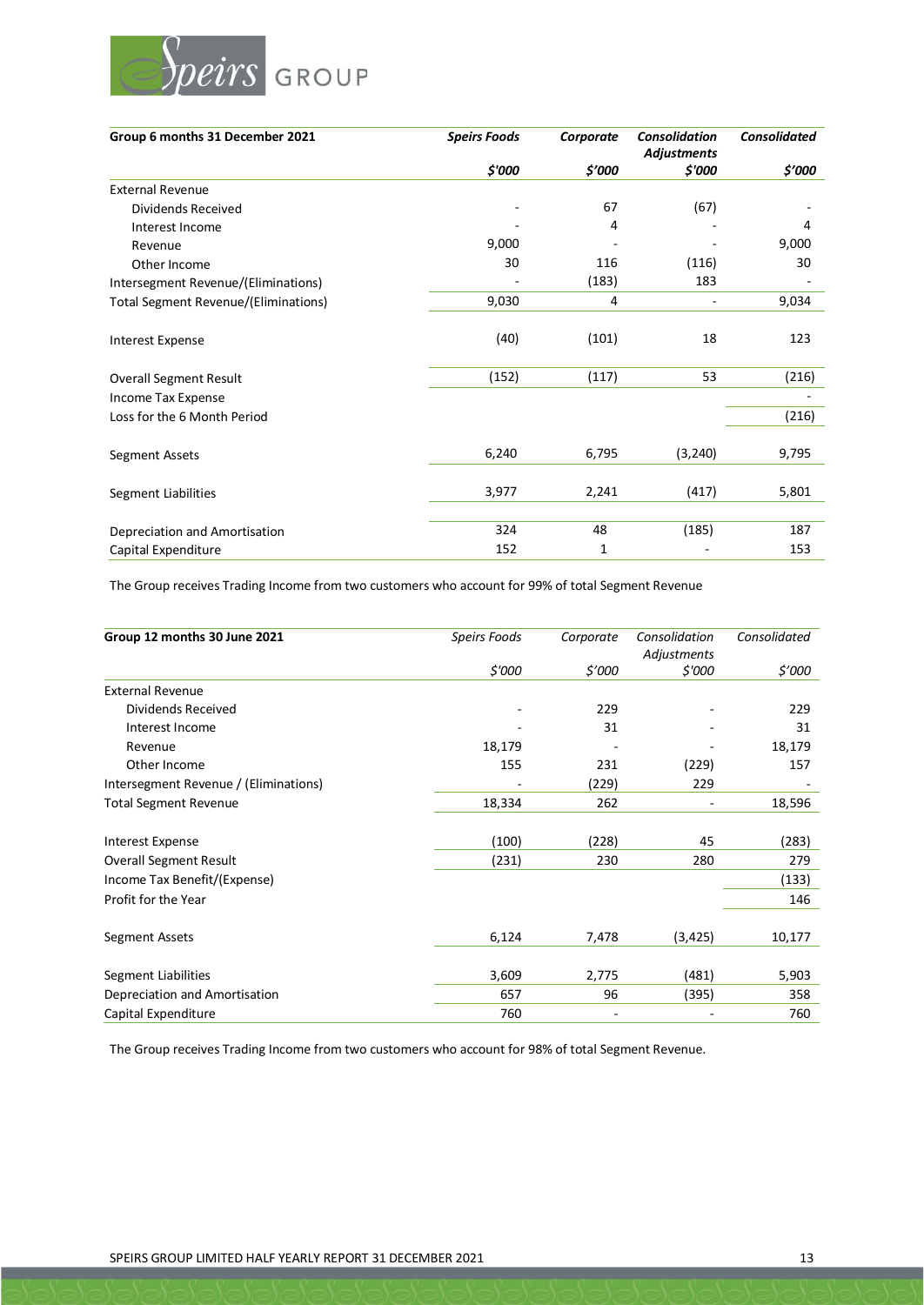

| Group 6 months 31 December 2021             | <b>Speirs Foods</b> | Corporate | <b>Consolidation</b><br><b>Adjustments</b> | <b>Consolidated</b> |
|---------------------------------------------|---------------------|-----------|--------------------------------------------|---------------------|
|                                             | \$'000              | \$'000    | \$'000                                     | \$'000              |
| <b>External Revenue</b>                     |                     |           |                                            |                     |
| Dividends Received                          |                     | 67        | (67)                                       |                     |
| Interest Income                             |                     | 4         |                                            | 4                   |
| Revenue                                     | 9,000               |           |                                            | 9,000               |
| Other Income                                | 30                  | 116       | (116)                                      | 30                  |
| Intersegment Revenue/(Eliminations)         |                     | (183)     | 183                                        |                     |
| <b>Total Segment Revenue/(Eliminations)</b> | 9,030               | 4         | $\overline{\phantom{a}}$                   | 9,034               |
| <b>Interest Expense</b>                     | (40)                | (101)     | 18                                         | 123                 |
| <b>Overall Segment Result</b>               | (152)               | (117)     | 53                                         | (216)               |
| Income Tax Expense                          |                     |           |                                            |                     |
| Loss for the 6 Month Period                 |                     |           |                                            | (216)               |
| Segment Assets                              | 6,240               | 6,795     | (3, 240)                                   | 9,795               |
| Segment Liabilities                         | 3,977               | 2,241     | (417)                                      | 5,801               |
|                                             |                     |           |                                            |                     |
| Depreciation and Amortisation               | 324                 | 48        | (185)                                      | 187                 |
| Capital Expenditure                         | 152                 | 1         |                                            | 153                 |

The Group receives Trading Income from two customers who account for 99% of total Segment Revenue

| Group 12 months 30 June 2021          | Speirs Foods | Corporate | Consolidation<br>Adjustments | Consolidated |
|---------------------------------------|--------------|-----------|------------------------------|--------------|
|                                       | \$'000       | \$'000    | \$'000                       | \$'000       |
| <b>External Revenue</b>               |              |           |                              |              |
| Dividends Received                    |              | 229       |                              | 229          |
| Interest Income                       |              | 31        |                              | 31           |
| Revenue                               | 18,179       |           |                              | 18,179       |
| Other Income                          | 155          | 231       | (229)                        | 157          |
| Intersegment Revenue / (Eliminations) |              | (229)     | 229                          |              |
| <b>Total Segment Revenue</b>          | 18,334       | 262       |                              | 18,596       |
| <b>Interest Expense</b>               | (100)        | (228)     | 45                           | (283)        |
| <b>Overall Segment Result</b>         | (231)        | 230       | 280                          | 279          |
| Income Tax Benefit/(Expense)          |              |           |                              | (133)        |
| Profit for the Year                   |              |           |                              | 146          |
| Segment Assets                        | 6,124        | 7,478     | (3, 425)                     | 10,177       |
| <b>Segment Liabilities</b>            | 3,609        | 2,775     | (481)                        | 5,903        |
| Depreciation and Amortisation         | 657          | 96        | (395)                        | 358          |
| Capital Expenditure                   | 760          |           |                              | 760          |

The Group receives Trading Income from two customers who account for 98% of total Segment Revenue.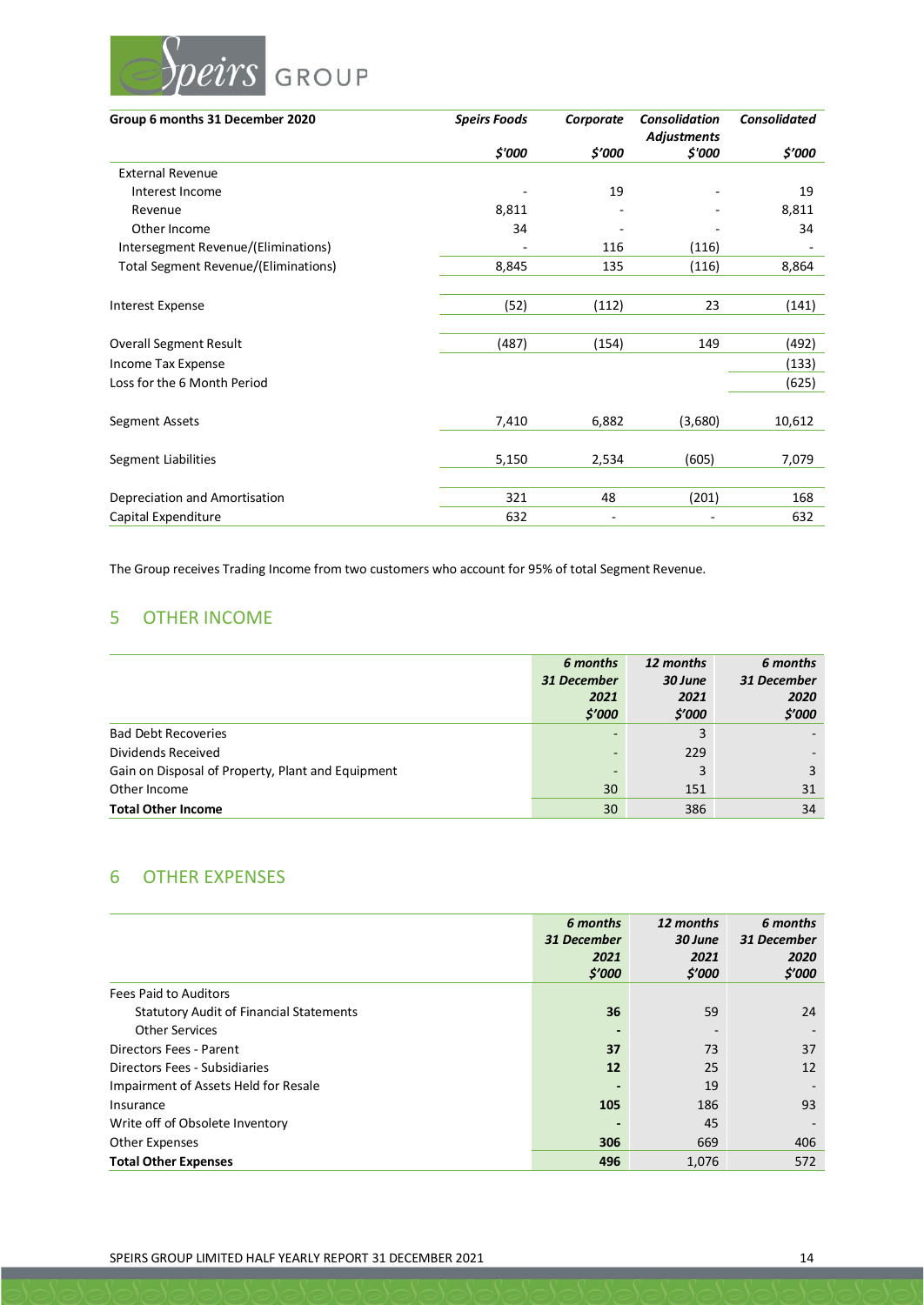

| Group 6 months 31 December 2020      | <b>Speirs Foods</b> | Corporate | <b>Consolidation</b><br><b>Adjustments</b> | <b>Consolidated</b> |
|--------------------------------------|---------------------|-----------|--------------------------------------------|---------------------|
|                                      | \$'000              | \$'000    | \$'000                                     | \$'000              |
| <b>External Revenue</b>              |                     |           |                                            |                     |
| Interest Income                      |                     | 19        |                                            | 19                  |
| Revenue                              | 8,811               |           |                                            | 8,811               |
| Other Income                         | 34                  |           |                                            | 34                  |
| Intersegment Revenue/(Eliminations)  |                     | 116       | (116)                                      |                     |
| Total Segment Revenue/(Eliminations) | 8,845               | 135       | (116)                                      | 8,864               |
|                                      |                     |           |                                            |                     |
| <b>Interest Expense</b>              | (52)                | (112)     | 23                                         | (141)               |
|                                      |                     |           |                                            |                     |
| <b>Overall Segment Result</b>        | (487)               | (154)     | 149                                        | (492)               |
| Income Tax Expense                   |                     |           |                                            | (133)               |
| Loss for the 6 Month Period          |                     |           |                                            | (625)               |
|                                      |                     |           |                                            |                     |
| Segment Assets                       | 7,410               | 6,882     | (3,680)                                    | 10,612              |
|                                      |                     |           |                                            |                     |
| Segment Liabilities                  | 5,150               | 2,534     | (605)                                      | 7,079               |
|                                      |                     |           |                                            |                     |
| Depreciation and Amortisation        | 321                 | 48        | (201)                                      | 168                 |
| Capital Expenditure                  | 632                 |           |                                            | 632                 |

The Group receives Trading Income from two customers who account for 95% of total Segment Revenue.

# 5 OTHER INCOME

|                                                   | 6 months                 | 12 months | 6 months    |
|---------------------------------------------------|--------------------------|-----------|-------------|
|                                                   | 31 December              | 30 June   | 31 December |
|                                                   | 2021                     | 2021      | 2020        |
|                                                   | \$'000                   | \$'000    | \$'000      |
| <b>Bad Debt Recoveries</b>                        |                          | 3         |             |
| Dividends Received                                |                          | 229       |             |
| Gain on Disposal of Property, Plant and Equipment | $\overline{\phantom{0}}$ | 3         | 3           |
| Other Income                                      | 30                       | 151       | 31          |
| <b>Total Other Income</b>                         | 30                       | 386       | 34          |

# 6 OTHER EXPENSES

|                                                | 6 months<br>31 December<br>2021<br>\$′000 | 12 months<br>30 June<br>2021<br>\$'000 | 6 months<br>31 December<br>2020<br>\$'000 |
|------------------------------------------------|-------------------------------------------|----------------------------------------|-------------------------------------------|
| <b>Fees Paid to Auditors</b>                   |                                           |                                        |                                           |
| <b>Statutory Audit of Financial Statements</b> | 36                                        | 59                                     | 24                                        |
| <b>Other Services</b>                          |                                           | $\overline{\phantom{a}}$               |                                           |
| Directors Fees - Parent                        | 37                                        | 73                                     | 37                                        |
| Directors Fees - Subsidiaries                  | 12                                        | 25                                     | 12                                        |
| Impairment of Assets Held for Resale           |                                           | 19                                     |                                           |
| Insurance                                      | 105                                       | 186                                    | 93                                        |
| Write off of Obsolete Inventory                |                                           | 45                                     |                                           |
| <b>Other Expenses</b>                          | 306                                       | 669                                    | 406                                       |
| <b>Total Other Expenses</b>                    | 496                                       | 1,076                                  | 572                                       |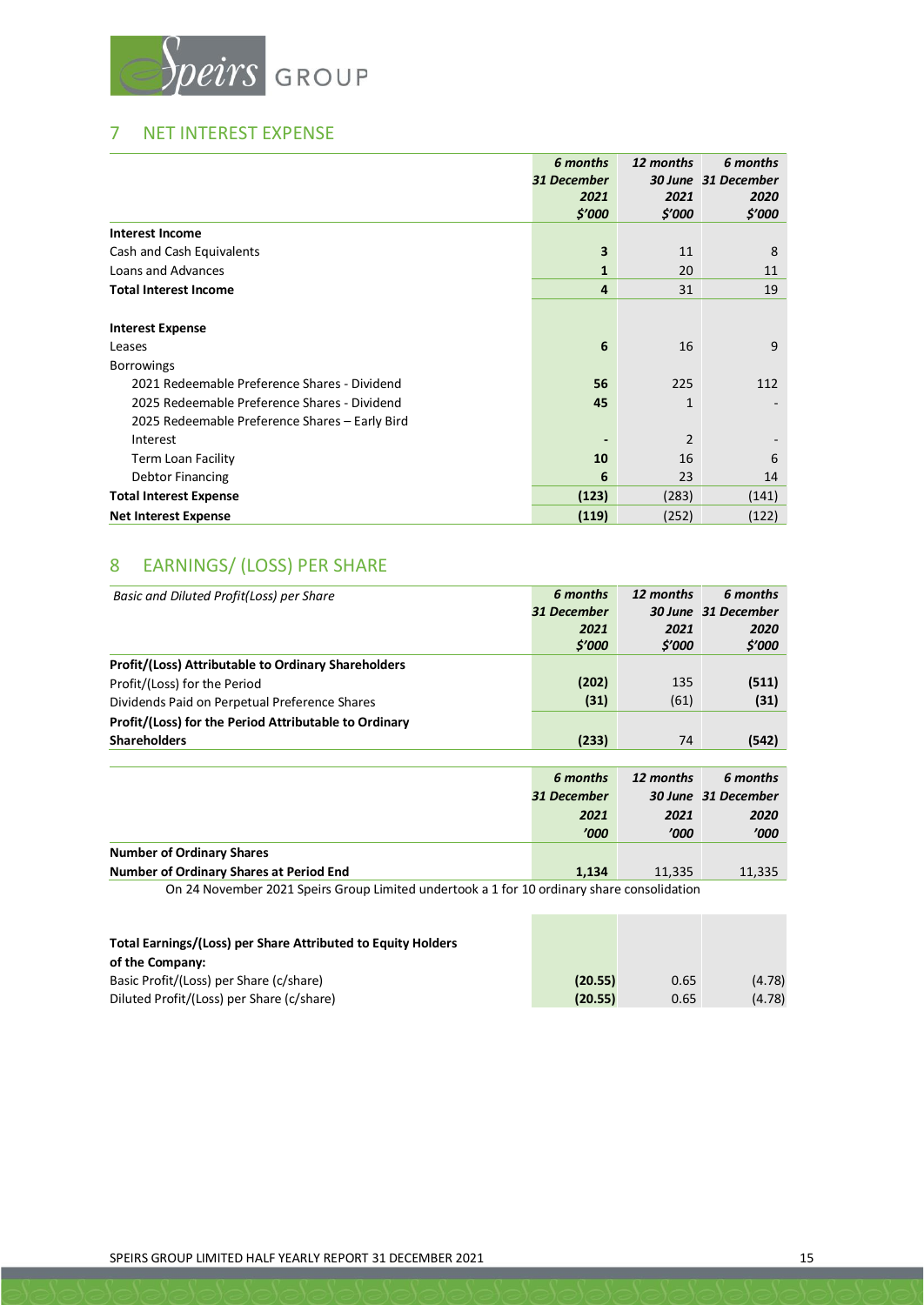

# 7 NET INTEREST EXPENSE

|                                                | 6 months     | 12 months    | 6 months            |
|------------------------------------------------|--------------|--------------|---------------------|
|                                                | 31 December  |              | 30 June 31 December |
|                                                | 2021         | 2021         | 2020                |
|                                                | \$'000       | \$'000       | \$'000              |
| <b>Interest Income</b>                         |              |              |                     |
| Cash and Cash Equivalents                      | 3            | 11           | 8                   |
| Loans and Advances                             | $\mathbf{1}$ | 20           | 11                  |
| <b>Total Interest Income</b>                   | 4            | 31           | 19                  |
|                                                |              |              |                     |
| <b>Interest Expense</b>                        |              |              |                     |
| Leases                                         | 6            | 16           | 9                   |
| <b>Borrowings</b>                              |              |              |                     |
| 2021 Redeemable Preference Shares - Dividend   | 56           | 225          | 112                 |
| 2025 Redeemable Preference Shares - Dividend   | 45           | $\mathbf{1}$ |                     |
| 2025 Redeemable Preference Shares - Early Bird |              |              |                     |
| Interest                                       |              | 2            |                     |
| Term Loan Facility                             | 10           | 16           | 6                   |
| <b>Debtor Financing</b>                        | 6            | 23           | 14                  |
| <b>Total Interest Expense</b>                  | (123)        | (283)        | (141)               |
| <b>Net Interest Expense</b>                    | (119)        | (252)        | (122)               |

# 8 EARNINGS/ (LOSS) PER SHARE

| Basic and Diluted Profit(Loss) per Share                                                   | 6 months    | 12 months | 6 months            |
|--------------------------------------------------------------------------------------------|-------------|-----------|---------------------|
|                                                                                            | 31 December |           | 30 June 31 December |
|                                                                                            | 2021        | 2021      | 2020                |
|                                                                                            | \$'000      | \$'000    | \$'000              |
| <b>Profit/(Loss) Attributable to Ordinary Shareholders</b>                                 |             |           |                     |
| Profit/(Loss) for the Period                                                               | (202)       | 135       | (511)               |
| Dividends Paid on Perpetual Preference Shares                                              | (31)        | (61)      | (31)                |
| Profit/(Loss) for the Period Attributable to Ordinary                                      |             |           |                     |
| <b>Shareholders</b>                                                                        | (233)       | 74        | (542)               |
|                                                                                            |             |           |                     |
|                                                                                            |             |           |                     |
|                                                                                            | 6 months    | 12 months | 6 months            |
|                                                                                            | 31 December |           | 30 June 31 December |
|                                                                                            | 2021        | 2021      | 2020                |
|                                                                                            | '000'       | '000'     | '000'               |
| <b>Number of Ordinary Shares</b>                                                           |             |           |                     |
| Number of Ordinary Shares at Period End                                                    | 1,134       | 11,335    | 11,335              |
| On 24 November 2021 Speirs Group Limited undertook a 1 for 10 ordinary share consolidation |             |           |                     |
|                                                                                            |             |           |                     |

| Total Editiones/(EOSS) per Share Attributed to Equity Holders |         |      |        |
|---------------------------------------------------------------|---------|------|--------|
| of the Company:                                               |         |      |        |
| Basic Profit/(Loss) per Share (c/share)                       | (20.55) | 0.65 | (4.78) |
| Diluted Profit/(Loss) per Share (c/share)                     | (20.55) | 0.65 | (4.78) |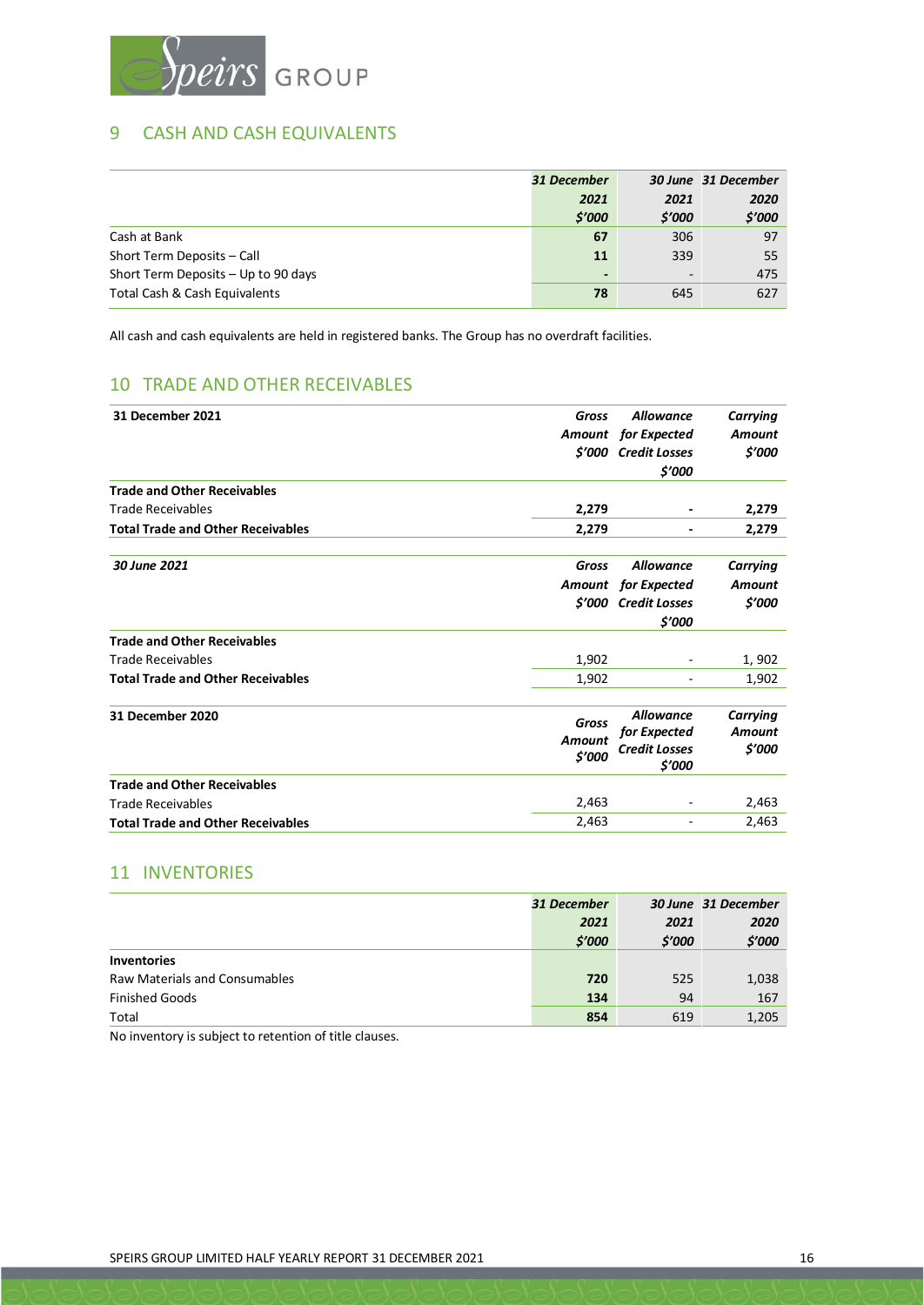

# 9 CASH AND CASH EQUIVALENTS

|                                     | 31 December              |                          | 30 June 31 December |
|-------------------------------------|--------------------------|--------------------------|---------------------|
|                                     | 2021                     | 2021                     | 2020                |
|                                     | \$'000                   | \$'000                   | \$'000              |
| Cash at Bank                        | 67                       | 306                      | 97                  |
| Short Term Deposits - Call          | 11                       | 339                      | 55                  |
| Short Term Deposits - Up to 90 days | $\overline{\phantom{0}}$ | $\overline{\phantom{a}}$ | 475                 |
| Total Cash & Cash Equivalents       | 78                       | 645                      | 627                 |

All cash and cash equivalents are held in registered banks. The Group has no overdraft facilities.

# 10 TRADE AND OTHER RECEIVABLES

| 31 December 2021                         | <b>Gross</b>  | <b>Allowance</b>               | Carrying        |
|------------------------------------------|---------------|--------------------------------|-----------------|
|                                          |               | <b>Amount</b> for Expected     | <b>Amount</b>   |
|                                          | \$'000        | <b>Credit Losses</b>           | \$'000          |
|                                          |               | \$'000                         |                 |
| <b>Trade and Other Receivables</b>       |               |                                |                 |
| <b>Trade Receivables</b>                 | 2,279         |                                | 2,279           |
| <b>Total Trade and Other Receivables</b> | 2,279         |                                | 2,279           |
| 30 June 2021                             | Gross         | <b>Allowance</b>               | <b>Carrying</b> |
|                                          |               | Amount for Expected            | <b>Amount</b>   |
|                                          | \$'000        | <b>Credit Losses</b>           | \$'000          |
|                                          |               | \$'000                         |                 |
| <b>Trade and Other Receivables</b>       |               |                                |                 |
| <b>Trade Receivables</b>                 | 1,902         | -                              | 1,902           |
| <b>Total Trade and Other Receivables</b> | 1,902         |                                | 1,902           |
| 31 December 2020                         | <b>Gross</b>  | <b>Allowance</b>               | Carrying        |
|                                          | <b>Amount</b> | for Expected                   | <b>Amount</b>   |
|                                          | \$'000        | <b>Credit Losses</b><br>\$'000 | \$'000          |
| <b>Trade and Other Receivables</b>       |               |                                |                 |
| <b>Trade Receivables</b>                 | 2,463         |                                | 2,463           |
| <b>Total Trade and Other Receivables</b> | 2,463         | ٠                              | 2,463           |
|                                          |               |                                |                 |

# 11 INVENTORIES

|                                      | 31 December |        | 30 June 31 December |
|--------------------------------------|-------------|--------|---------------------|
|                                      | 2021        | 2021   | 2020                |
|                                      | \$'000      | \$'000 | \$'000              |
| <b>Inventories</b>                   |             |        |                     |
| <b>Raw Materials and Consumables</b> | 720         | 525    | 1,038               |
| <b>Finished Goods</b>                | 134         | 94     | 167                 |
| Total                                | 854         | 619    | 1,205               |

No inventory is subject to retention of title clauses.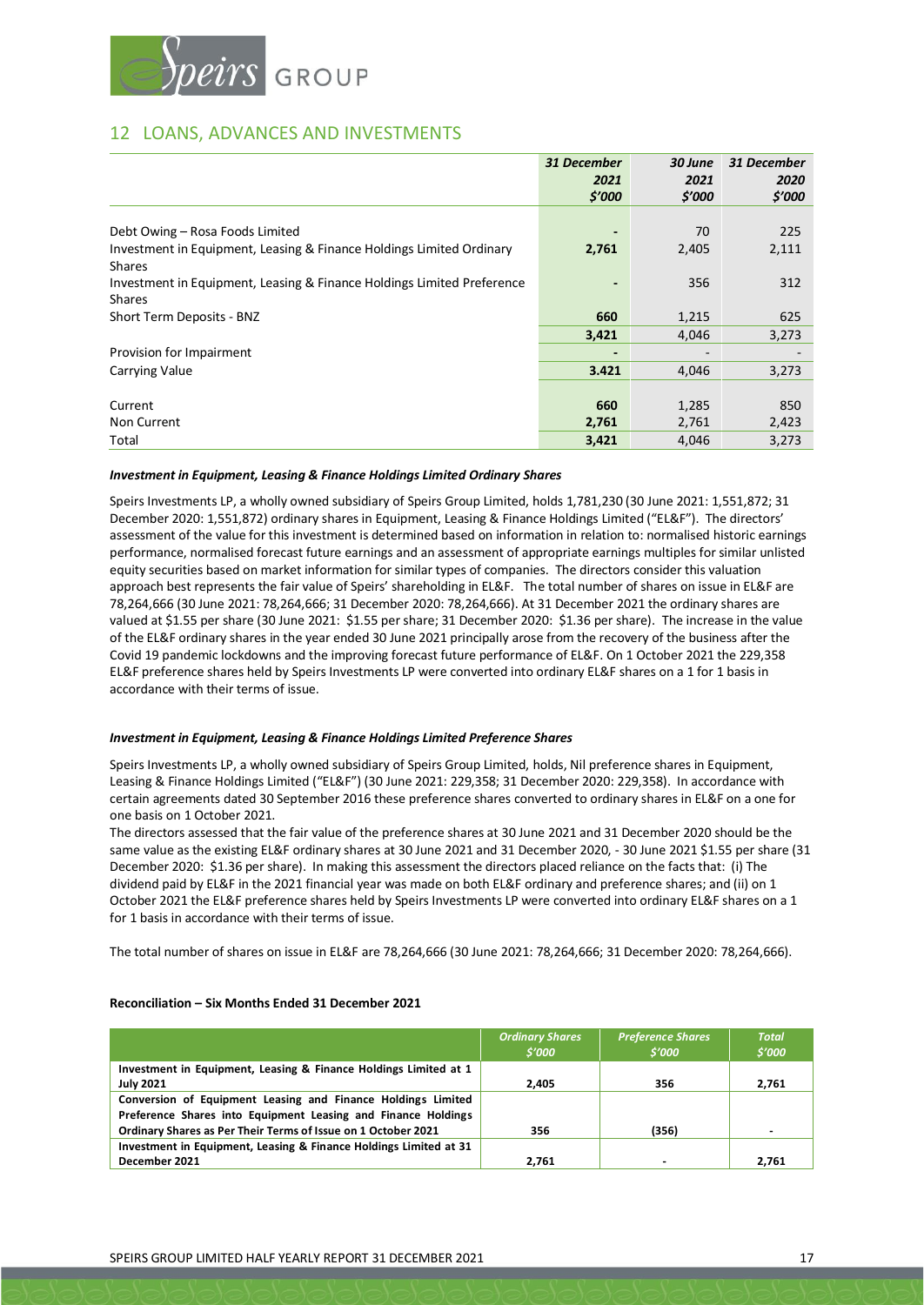

# 12 LOANS, ADVANCES AND INVESTMENTS

|                                                                        | 31 December | 30 June | 31 December |
|------------------------------------------------------------------------|-------------|---------|-------------|
|                                                                        | 2021        | 2021    | 2020        |
|                                                                        | \$'000      | \$'000  | \$'000      |
|                                                                        |             |         |             |
| Debt Owing - Rosa Foods Limited                                        |             | 70      | 225         |
| Investment in Equipment, Leasing & Finance Holdings Limited Ordinary   | 2,761       | 2,405   | 2,111       |
| <b>Shares</b>                                                          |             |         |             |
| Investment in Equipment, Leasing & Finance Holdings Limited Preference |             | 356     | 312         |
| <b>Shares</b>                                                          |             |         |             |
| Short Term Deposits - BNZ                                              | 660         | 1,215   | 625         |
|                                                                        | 3,421       | 4,046   | 3,273       |
| Provision for Impairment                                               |             |         |             |
| Carrying Value                                                         | 3.421       | 4,046   | 3,273       |
|                                                                        |             |         |             |
| Current                                                                | 660         | 1,285   | 850         |
| Non Current                                                            | 2,761       | 2,761   | 2,423       |
| Total                                                                  | 3,421       | 4,046   | 3,273       |

#### *Investment in Equipment, Leasing & Finance Holdings Limited Ordinary Shares*

Speirs Investments LP, a wholly owned subsidiary of Speirs Group Limited, holds 1,781,230 (30 June 2021: 1,551,872; 31 December 2020: 1,551,872) ordinary shares in Equipment, Leasing & Finance Holdings Limited ("EL&F"). The directors' assessment of the value for this investment is determined based on information in relation to: normalised historic earnings performance, normalised forecast future earnings and an assessment of appropriate earnings multiples for similar unlisted equity securities based on market information for similar types of companies. The directors consider this valuation approach best represents the fair value of Speirs' shareholding in EL&F. The total number of shares on issue in EL&F are 78,264,666 (30 June 2021: 78,264,666; 31 December 2020: 78,264,666). At 31 December 2021 the ordinary shares are valued at \$1.55 per share (30 June 2021: \$1.55 per share; 31 December 2020: \$1.36 per share). The increase in the value of the EL&F ordinary shares in the year ended 30 June 2021 principally arose from the recovery of the business after the Covid 19 pandemic lockdowns and the improving forecast future performance of EL&F. On 1 October 2021 the 229,358 EL&F preference shares held by Speirs Investments LP were converted into ordinary EL&F shares on a 1 for 1 basis in accordance with their terms of issue.

#### *Investment in Equipment, Leasing & Finance Holdings Limited Preference Shares*

Speirs Investments LP, a wholly owned subsidiary of Speirs Group Limited, holds, Nil preference shares in Equipment, Leasing & Finance Holdings Limited ("EL&F") (30 June 2021: 229,358; 31 December 2020: 229,358). In accordance with certain agreements dated 30 September 2016 these preference shares converted to ordinary shares in EL&F on a one for one basis on 1 October 2021.

The directors assessed that the fair value of the preference shares at 30 June 2021 and 31 December 2020 should be the same value as the existing EL&F ordinary shares at 30 June 2021 and 31 December 2020, - 30 June 2021 \$1.55 per share (31 December 2020: \$1.36 per share). In making this assessment the directors placed reliance on the facts that: (i) The dividend paid by EL&F in the 2021 financial year was made on both EL&F ordinary and preference shares; and (ii) on 1 October 2021 the EL&F preference shares held by Speirs Investments LP were converted into ordinary EL&F shares on a 1 for 1 basis in accordance with their terms of issue.

The total number of shares on issue in EL&F are 78,264,666 (30 June 2021: 78,264,666; 31 December 2020: 78,264,666).

#### **Reconciliation – Six Months Ended 31 December 2021**

|                                                                   | <b>Ordinary Shares</b><br>\$'000 | <b>Preference Shares</b><br>\$'000 | <b>Total</b><br>\$'000 |
|-------------------------------------------------------------------|----------------------------------|------------------------------------|------------------------|
| Investment in Equipment, Leasing & Finance Holdings Limited at 1  |                                  |                                    |                        |
| <b>July 2021</b>                                                  | 2.405                            | 356                                | 2,761                  |
| Conversion of Equipment Leasing and Finance Holdings Limited      |                                  |                                    |                        |
| Preference Shares into Equipment Leasing and Finance Holdings     |                                  |                                    |                        |
| Ordinary Shares as Per Their Terms of Issue on 1 October 2021     | 356                              | (356)                              |                        |
| Investment in Equipment, Leasing & Finance Holdings Limited at 31 |                                  |                                    |                        |
| December 2021                                                     | 2,761                            |                                    | 2.761                  |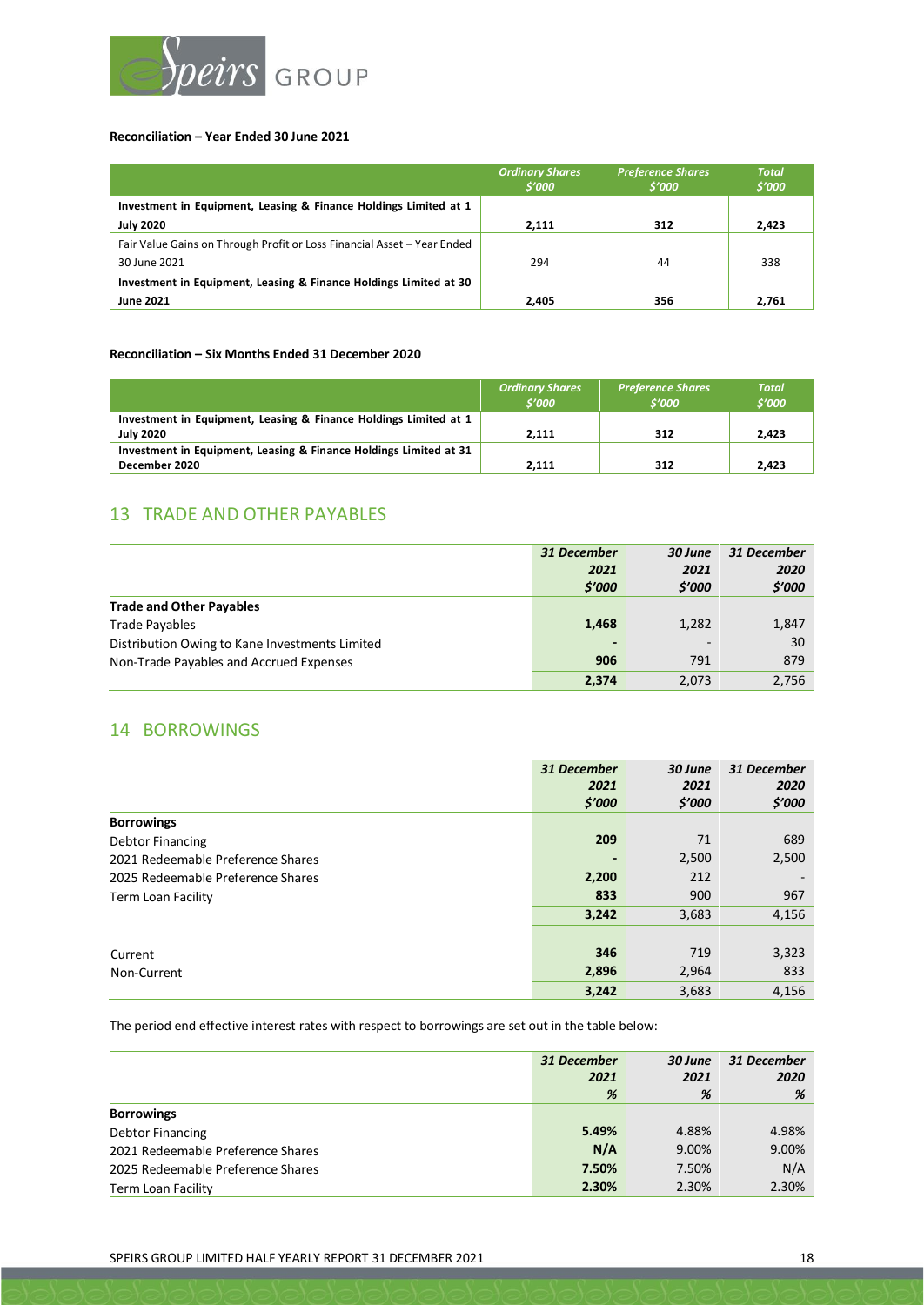

#### **Reconciliation – Year Ended 30 June 2021**

|                                                                         | <b>Ordinary Shares</b><br>\$'000 | <b>Preference Shares</b><br>\$'000 | <b>Total</b><br>\$'000 |
|-------------------------------------------------------------------------|----------------------------------|------------------------------------|------------------------|
| Investment in Equipment, Leasing & Finance Holdings Limited at 1        |                                  |                                    |                        |
| <b>July 2020</b>                                                        | 2,111                            | 312                                | 2,423                  |
| Fair Value Gains on Through Profit or Loss Financial Asset - Year Ended |                                  |                                    |                        |
| 30 June 2021                                                            | 294                              | 44                                 | 338                    |
| Investment in Equipment, Leasing & Finance Holdings Limited at 30       |                                  |                                    |                        |
| <b>June 2021</b>                                                        | 2.405                            | 356                                | 2,761                  |

#### **Reconciliation – Six Months Ended 31 December 2020**

|                                                                                      | <b>Ordinary Shares</b><br>\$'000 | <b>Preference Shares</b><br>\$'000 | <b>Total</b><br>\$'000 |
|--------------------------------------------------------------------------------------|----------------------------------|------------------------------------|------------------------|
| Investment in Equipment, Leasing & Finance Holdings Limited at 1<br><b>July 2020</b> | 2.111                            | 312                                | 2.423                  |
| Investment in Equipment, Leasing & Finance Holdings Limited at 31                    |                                  |                                    |                        |
| December 2020                                                                        | 2.111                            | 312                                | 2.423                  |

# 13 TRADE AND OTHER PAYABLES

|                                                | 31 December | 30 June | 31 December |
|------------------------------------------------|-------------|---------|-------------|
|                                                | 2021        | 2021    | 2020        |
|                                                | \$'000      | \$'000  | \$'000      |
| <b>Trade and Other Payables</b>                |             |         |             |
| <b>Trade Pavables</b>                          | 1,468       | 1,282   | 1,847       |
| Distribution Owing to Kane Investments Limited | ٠           |         | 30          |
| Non-Trade Payables and Accrued Expenses        | 906         | 791     | 879         |
|                                                | 2,374       | 2,073   | 2,756       |

# 14 BORROWINGS

|                                   | 31 December | 30 June | 31 December |
|-----------------------------------|-------------|---------|-------------|
|                                   | 2021        | 2021    | 2020        |
|                                   | \$′000      | \$'000  | \$′000      |
| <b>Borrowings</b>                 |             |         |             |
| Debtor Financing                  | 209         | 71      | 689         |
| 2021 Redeemable Preference Shares |             | 2,500   | 2,500       |
| 2025 Redeemable Preference Shares | 2,200       | 212     |             |
| <b>Term Loan Facility</b>         | 833         | 900     | 967         |
|                                   | 3,242       | 3,683   | 4,156       |
|                                   |             |         |             |
| Current                           | 346         | 719     | 3,323       |
| Non-Current                       | 2,896       | 2,964   | 833         |
|                                   | 3,242       | 3,683   | 4,156       |

The period end effective interest rates with respect to borrowings are set out in the table below:

|                                   | 31 December<br>2021 | 30 June<br>2021 | 31 December<br>2020 |
|-----------------------------------|---------------------|-----------------|---------------------|
|                                   | %                   | %               | %                   |
| <b>Borrowings</b>                 |                     |                 |                     |
| Debtor Financing                  | 5.49%               | 4.88%           | 4.98%               |
| 2021 Redeemable Preference Shares | N/A                 | 9.00%           | 9.00%               |
| 2025 Redeemable Preference Shares | 7.50%               | 7.50%           | N/A                 |
| Term Loan Facility                | 2.30%               | 2.30%           | 2.30%               |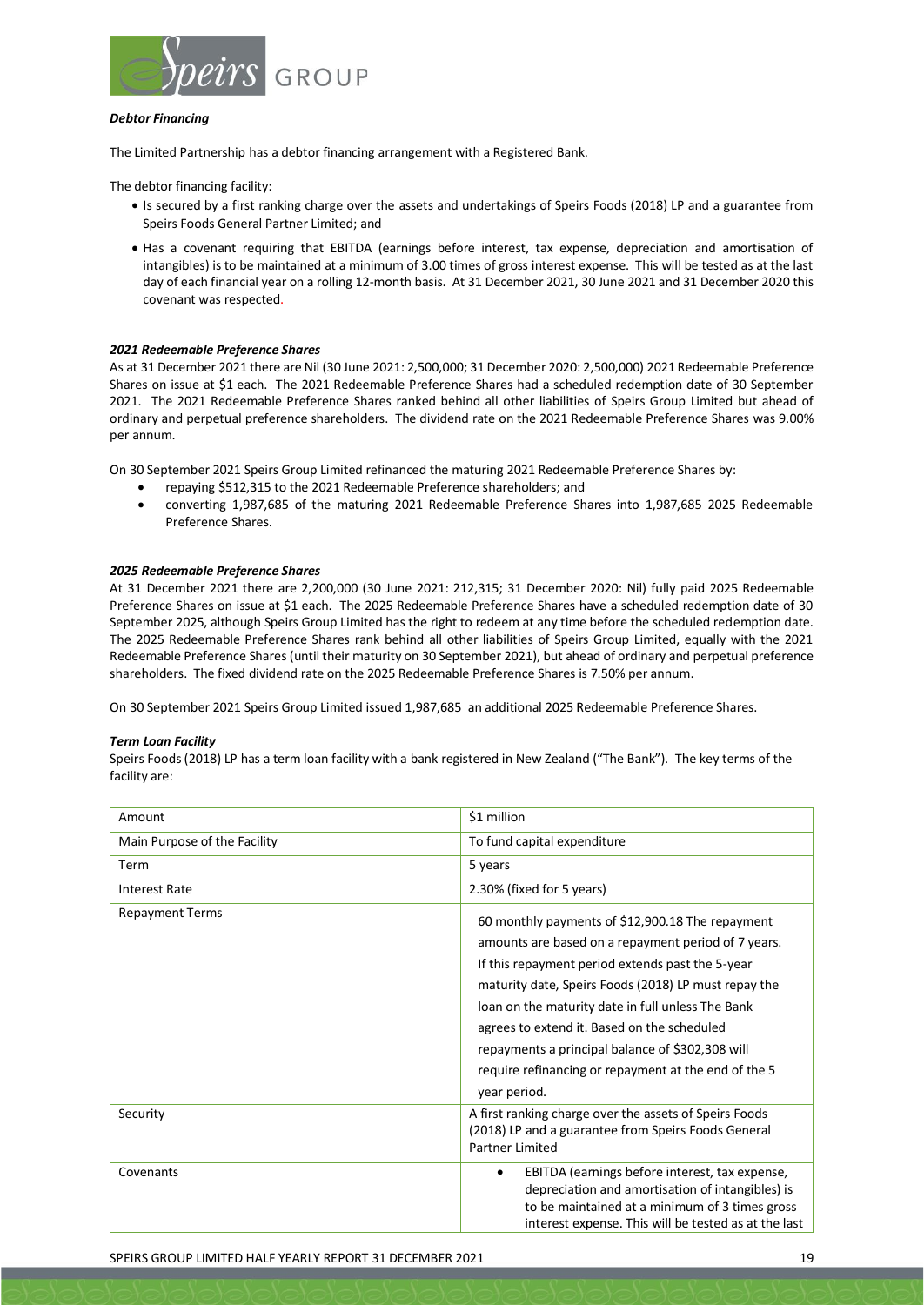

#### *Debtor Financing*

The Limited Partnership has a debtor financing arrangement with a Registered Bank.

The debtor financing facility:

- Is secured by a first ranking charge over the assets and undertakings of Speirs Foods (2018) LP and a guarantee from Speirs Foods General Partner Limited; and
- Has a covenant requiring that EBITDA (earnings before interest, tax expense, depreciation and amortisation of intangibles) is to be maintained at a minimum of 3.00 times of gross interest expense. This will be tested as at the last day of each financial year on a rolling 12-month basis. At 31 December 2021, 30 June 2021 and 31 December 2020 this covenant was respected.

#### *2021 Redeemable Preference Shares*

As at 31 December 2021 there are Nil (30 June 2021: 2,500,000; 31 December 2020: 2,500,000) 2021 Redeemable Preference Shares on issue at \$1 each. The 2021 Redeemable Preference Shares had a scheduled redemption date of 30 September 2021. The 2021 Redeemable Preference Shares ranked behind all other liabilities of Speirs Group Limited but ahead of ordinary and perpetual preference shareholders. The dividend rate on the 2021 Redeemable Preference Shares was 9.00% per annum.

On 30 September 2021 Speirs Group Limited refinanced the maturing 2021 Redeemable Preference Shares by:

- repaying \$512,315 to the 2021 Redeemable Preference shareholders; and
- converting 1,987,685 of the maturing 2021 Redeemable Preference Shares into 1,987,685 2025 Redeemable Preference Shares.

#### *2025 Redeemable Preference Shares*

At 31 December 2021 there are 2,200,000 (30 June 2021: 212,315; 31 December 2020: Nil) fully paid 2025 Redeemable Preference Shares on issue at \$1 each. The 2025 Redeemable Preference Shares have a scheduled redemption date of 30 September 2025, although Speirs Group Limited has the right to redeem at any time before the scheduled redemption date. The 2025 Redeemable Preference Shares rank behind all other liabilities of Speirs Group Limited, equally with the 2021 Redeemable Preference Shares (until their maturity on 30 September 2021), but ahead of ordinary and perpetual preference shareholders. The fixed dividend rate on the 2025 Redeemable Preference Shares is 7.50% per annum.

On 30 September 2021 Speirs Group Limited issued 1,987,685 an additional 2025 Redeemable Preference Shares.

#### *Term Loan Facility*

Speirs Foods (2018) LP has a term loan facility with a bank registered in New Zealand ("The Bank"). The key terms of the facility are:

| Amount                       | \$1 million                                                                                                                                                                                                                                                                                                                                                                                                                                         |
|------------------------------|-----------------------------------------------------------------------------------------------------------------------------------------------------------------------------------------------------------------------------------------------------------------------------------------------------------------------------------------------------------------------------------------------------------------------------------------------------|
| Main Purpose of the Facility | To fund capital expenditure                                                                                                                                                                                                                                                                                                                                                                                                                         |
| <b>Term</b>                  | 5 years                                                                                                                                                                                                                                                                                                                                                                                                                                             |
| <b>Interest Rate</b>         | 2.30% (fixed for 5 years)                                                                                                                                                                                                                                                                                                                                                                                                                           |
| <b>Repayment Terms</b>       | 60 monthly payments of \$12,900.18 The repayment<br>amounts are based on a repayment period of 7 years.<br>If this repayment period extends past the 5-year<br>maturity date, Speirs Foods (2018) LP must repay the<br>loan on the maturity date in full unless The Bank<br>agrees to extend it. Based on the scheduled<br>repayments a principal balance of \$302,308 will<br>require refinancing or repayment at the end of the 5<br>year period. |
| Security                     | A first ranking charge over the assets of Speirs Foods<br>(2018) LP and a guarantee from Speirs Foods General<br>Partner Limited                                                                                                                                                                                                                                                                                                                    |
| Covenants                    | EBITDA (earnings before interest, tax expense,<br>$\bullet$<br>depreciation and amortisation of intangibles) is<br>to be maintained at a minimum of 3 times gross<br>interest expense. This will be tested as at the last                                                                                                                                                                                                                           |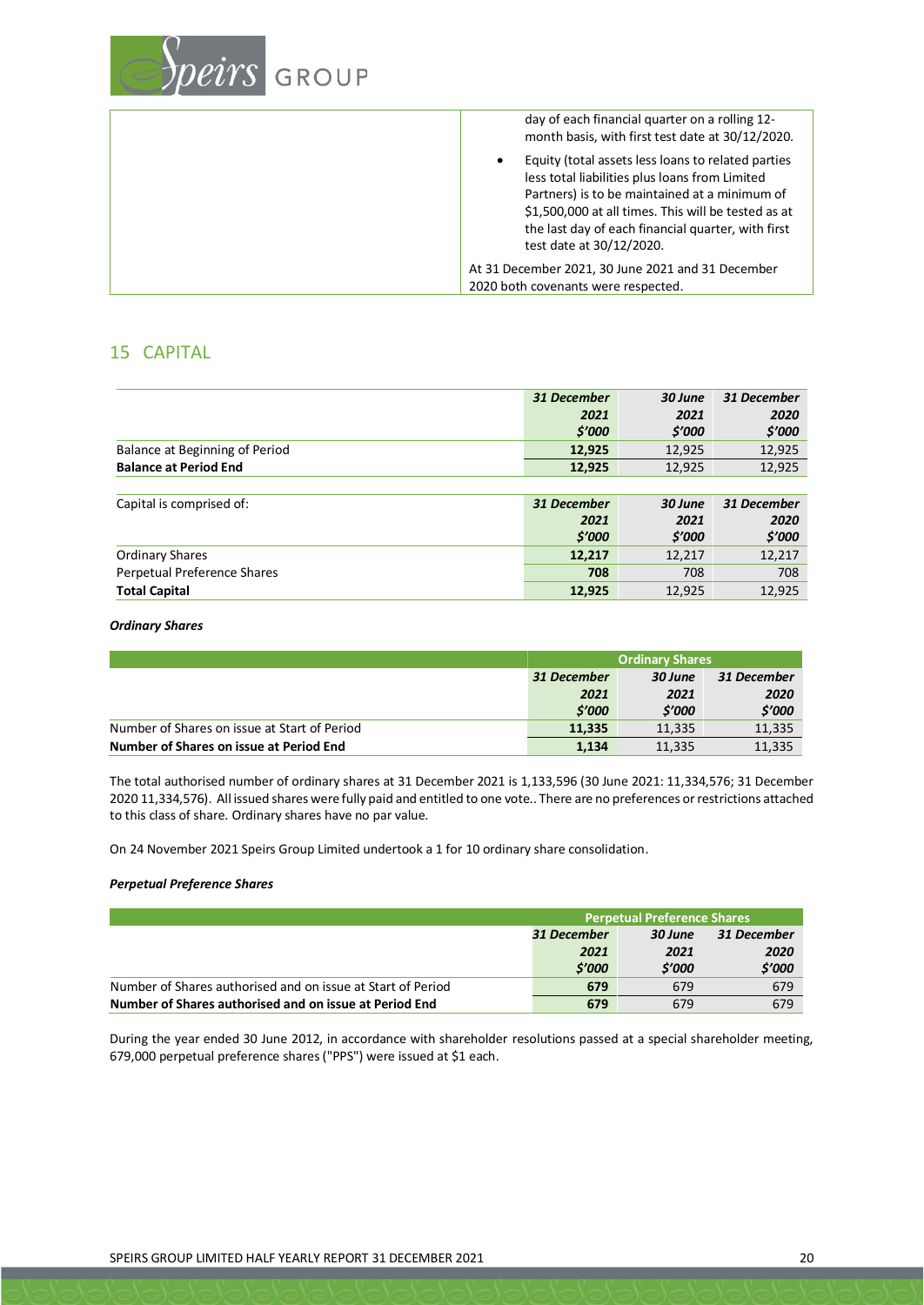

# 15 CAPITAL

|                                | 31 December | 30 June | 31 December |
|--------------------------------|-------------|---------|-------------|
|                                | 2021        | 2021    | 2020        |
|                                | \$′000      | \$'000  | \$′000      |
| Balance at Beginning of Period | 12,925      | 12,925  | 12,925      |
| <b>Balance at Period End</b>   | 12,925      | 12,925  | 12,925      |
|                                |             |         |             |
| Capital is comprised of:       | 31 December | 30 June | 31 December |
|                                | 2021        | 2021    | 2020        |
|                                | \$′000      | \$'000  | \$'000      |
| <b>Ordinary Shares</b>         | 12,217      | 12,217  | 12,217      |
| Perpetual Preference Shares    | 708         | 708     | 708         |
| <b>Total Capital</b>           | 12,925      | 12,925  | 12,925      |

#### *Ordinary Shares*

|                                              | <b>Ordinary Shares</b> |             |        |
|----------------------------------------------|------------------------|-------------|--------|
|                                              | 31 December            | 31 December |        |
|                                              | 2021                   | 2021        | 2020   |
|                                              | \$'000                 | \$'000      | \$'000 |
| Number of Shares on issue at Start of Period | 11.335                 | 11.335      | 11,335 |
| Number of Shares on issue at Period End      | 1.134                  | 11.335      | 11,335 |

The total authorised number of ordinary shares at 31 December 2021 is 1,133,596 (30 June 2021: 11,334,576; 31 December 2020 11,334,576). All issued shares were fully paid and entitled to one vote.. There are no preferences or restrictions attached to this class of share. Ordinary shares have no par value.

On 24 November 2021 Speirs Group Limited undertook a 1 for 10 ordinary share consolidation.

#### *Perpetual Preference Shares*

|                                                             | <b>Perpetual Preference Shares</b> |             |        |
|-------------------------------------------------------------|------------------------------------|-------------|--------|
|                                                             | 31 December                        | 31 December |        |
|                                                             | 2021                               | 2021        | 2020   |
|                                                             | \$'000                             | \$'000      | \$'000 |
| Number of Shares authorised and on issue at Start of Period | 679                                | 679         | 679    |
| Number of Shares authorised and on issue at Period End      | 679                                | 679         | 679    |

During the year ended 30 June 2012, in accordance with shareholder resolutions passed at a special shareholder meeting, 679,000 perpetual preference shares ("PPS") were issued at \$1 each.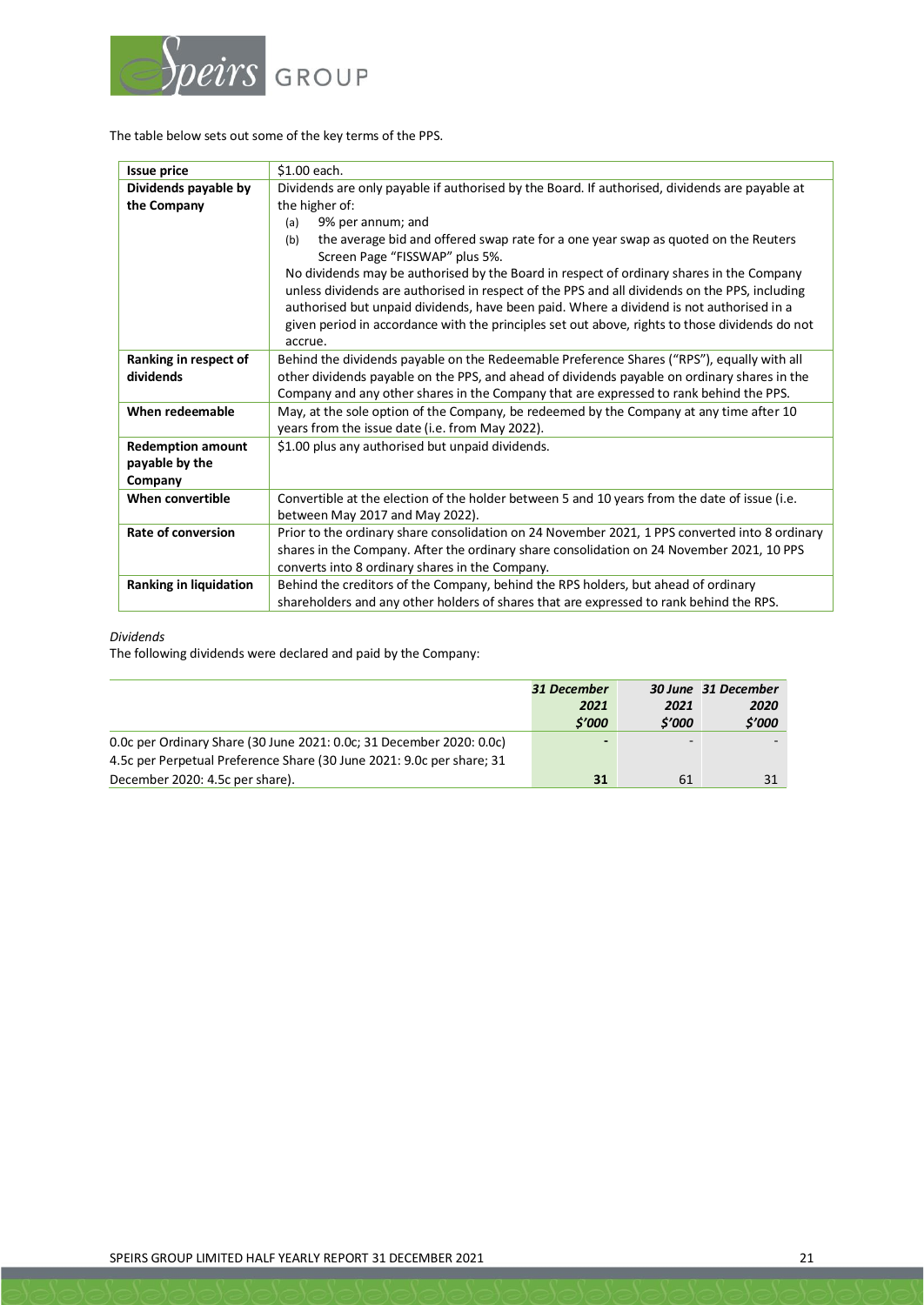

The table below sets out some of the key terms of the PPS.

| <b>Issue price</b>            | \$1.00 each.                                                                                   |
|-------------------------------|------------------------------------------------------------------------------------------------|
| Dividends payable by          | Dividends are only payable if authorised by the Board. If authorised, dividends are payable at |
| the Company                   | the higher of:                                                                                 |
|                               | 9% per annum; and<br>(a)                                                                       |
|                               | the average bid and offered swap rate for a one year swap as quoted on the Reuters<br>(b)      |
|                               | Screen Page "FISSWAP" plus 5%.                                                                 |
|                               | No dividends may be authorised by the Board in respect of ordinary shares in the Company       |
|                               | unless dividends are authorised in respect of the PPS and all dividends on the PPS, including  |
|                               | authorised but unpaid dividends, have been paid. Where a dividend is not authorised in a       |
|                               | given period in accordance with the principles set out above, rights to those dividends do not |
|                               | accrue.                                                                                        |
| Ranking in respect of         | Behind the dividends payable on the Redeemable Preference Shares ("RPS"), equally with all     |
| dividends                     | other dividends payable on the PPS, and ahead of dividends payable on ordinary shares in the   |
|                               | Company and any other shares in the Company that are expressed to rank behind the PPS.         |
| When redeemable               | May, at the sole option of the Company, be redeemed by the Company at any time after 10        |
|                               | years from the issue date (i.e. from May 2022).                                                |
| <b>Redemption amount</b>      | \$1.00 plus any authorised but unpaid dividends.                                               |
| payable by the                |                                                                                                |
| Company                       |                                                                                                |
| When convertible              | Convertible at the election of the holder between 5 and 10 years from the date of issue (i.e.  |
|                               | between May 2017 and May 2022).                                                                |
| <b>Rate of conversion</b>     | Prior to the ordinary share consolidation on 24 November 2021, 1 PPS converted into 8 ordinary |
|                               | shares in the Company. After the ordinary share consolidation on 24 November 2021, 10 PPS      |
|                               | converts into 8 ordinary shares in the Company.                                                |
| <b>Ranking in liquidation</b> | Behind the creditors of the Company, behind the RPS holders, but ahead of ordinary             |
|                               | shareholders and any other holders of shares that are expressed to rank behind the RPS.        |

#### *Dividends*

The following dividends were declared and paid by the Company:

|                                                                       | 31 December |                          | 30 June 31 December |
|-----------------------------------------------------------------------|-------------|--------------------------|---------------------|
|                                                                       | 2021        | 2021                     | 2020                |
|                                                                       | \$'000      | \$'000                   | \$'000              |
| 0.0c per Ordinary Share (30 June 2021: 0.0c; 31 December 2020: 0.0c)  | -           | $\overline{\phantom{0}}$ |                     |
| 4.5c per Perpetual Preference Share (30 June 2021: 9.0c per share; 31 |             |                          |                     |
| December 2020: 4.5c per share).                                       | 31          | 61                       |                     |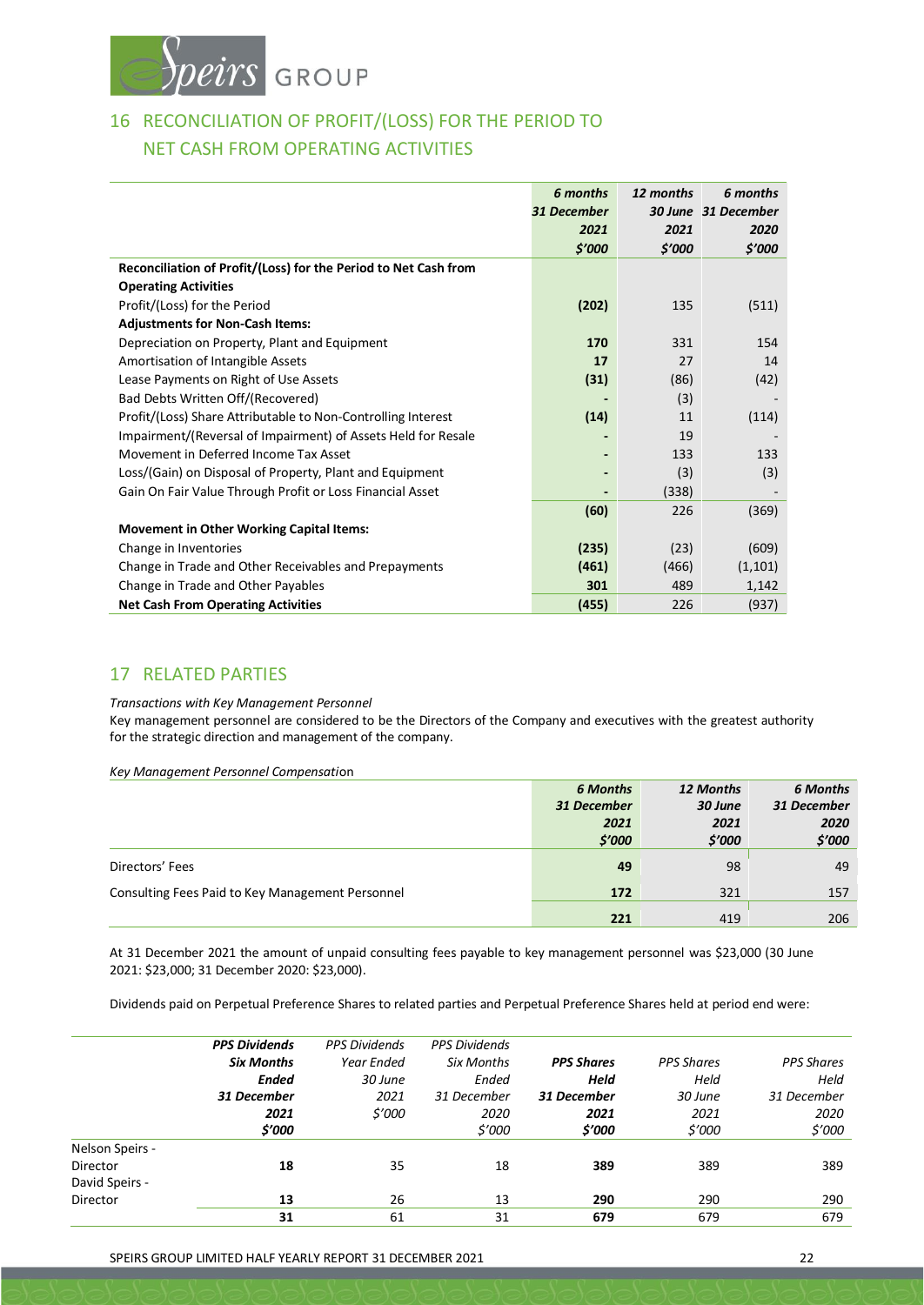

# 16 RECONCILIATION OF PROFIT/(LOSS) FOR THE PERIOD TO NET CASH FROM OPERATING ACTIVITIES

|                                                                 | 6 months    | 12 months | 6 months            |
|-----------------------------------------------------------------|-------------|-----------|---------------------|
|                                                                 | 31 December |           | 30 June 31 December |
|                                                                 | 2021        | 2021      | 2020                |
|                                                                 | \$'000      | \$'000    | \$'000              |
| Reconciliation of Profit/(Loss) for the Period to Net Cash from |             |           |                     |
| <b>Operating Activities</b>                                     |             |           |                     |
| Profit/(Loss) for the Period                                    | (202)       | 135       | (511)               |
| <b>Adjustments for Non-Cash Items:</b>                          |             |           |                     |
| Depreciation on Property, Plant and Equipment                   | 170         | 331       | 154                 |
| Amortisation of Intangible Assets                               | 17          | 27        | 14                  |
| Lease Payments on Right of Use Assets                           | (31)        | (86)      | (42)                |
| Bad Debts Written Off/(Recovered)                               |             | (3)       |                     |
| Profit/(Loss) Share Attributable to Non-Controlling Interest    | (14)        | 11        | (114)               |
| Impairment/(Reversal of Impairment) of Assets Held for Resale   |             | 19        |                     |
| Movement in Deferred Income Tax Asset                           |             | 133       | 133                 |
| Loss/(Gain) on Disposal of Property, Plant and Equipment        |             | (3)       | (3)                 |
| Gain On Fair Value Through Profit or Loss Financial Asset       |             | (338)     |                     |
|                                                                 | (60)        | 226       | (369)               |
| <b>Movement in Other Working Capital Items:</b>                 |             |           |                     |
| Change in Inventories                                           | (235)       | (23)      | (609)               |
| Change in Trade and Other Receivables and Prepayments           | (461)       | (466)     | (1, 101)            |
| Change in Trade and Other Payables                              | 301         | 489       | 1,142               |
| <b>Net Cash From Operating Activities</b>                       | (455)       | 226       | (937)               |

# 17 RELATED PARTIES

*Transactions with Key Management Personnel*

Key management personnel are considered to be the Directors of the Company and executives with the greatest authority for the strategic direction and management of the company.

*Key Management Personnel Compensati*on

|                                                  | <b>6 Months</b> | 12 Months | <b>6 Months</b> |
|--------------------------------------------------|-----------------|-----------|-----------------|
|                                                  | 31 December     | 30 June   | 31 December     |
|                                                  | 2021            | 2021      | 2020            |
|                                                  | \$'000          | \$'000    | \$'000          |
| Directors' Fees                                  | 49              | 98        | 49              |
| Consulting Fees Paid to Key Management Personnel | <b>172</b>      | 321       | 157             |
|                                                  | 221             | 419       | 206             |

At 31 December 2021 the amount of unpaid consulting fees payable to key management personnel was \$23,000 (30 June 2021: \$23,000; 31 December 2020: \$23,000).

Dividends paid on Perpetual Preference Shares to related parties and Perpetual Preference Shares held at period end were:

|                 | <b>PPS Dividends</b> | <b>PPS Dividends</b> | <b>PPS Dividends</b> |                   |                   |                   |
|-----------------|----------------------|----------------------|----------------------|-------------------|-------------------|-------------------|
|                 | <b>Six Months</b>    | Year Ended           | Six Months           | <b>PPS Shares</b> | <b>PPS Shares</b> | <b>PPS Shares</b> |
|                 | <b>Ended</b>         | 30 June              | Ended                | Held              | Held              | Held              |
|                 | 31 December          | 2021                 | 31 December          | 31 December       | 30 June           | 31 December       |
|                 | 2021                 | \$'000               | 2020                 | 2021              | 2021              | 2020              |
|                 | \$'000               |                      | \$'000               | \$'000            | \$'000            | \$'000            |
| Nelson Speirs - |                      |                      |                      |                   |                   |                   |
| Director        | 18                   | 35                   | 18                   | 389               | 389               | 389               |
| David Speirs -  |                      |                      |                      |                   |                   |                   |
| Director        | 13                   | 26                   | 13                   | 290               | 290               | 290               |
|                 | 31                   | 61                   | 31                   | 679               | 679               | 679               |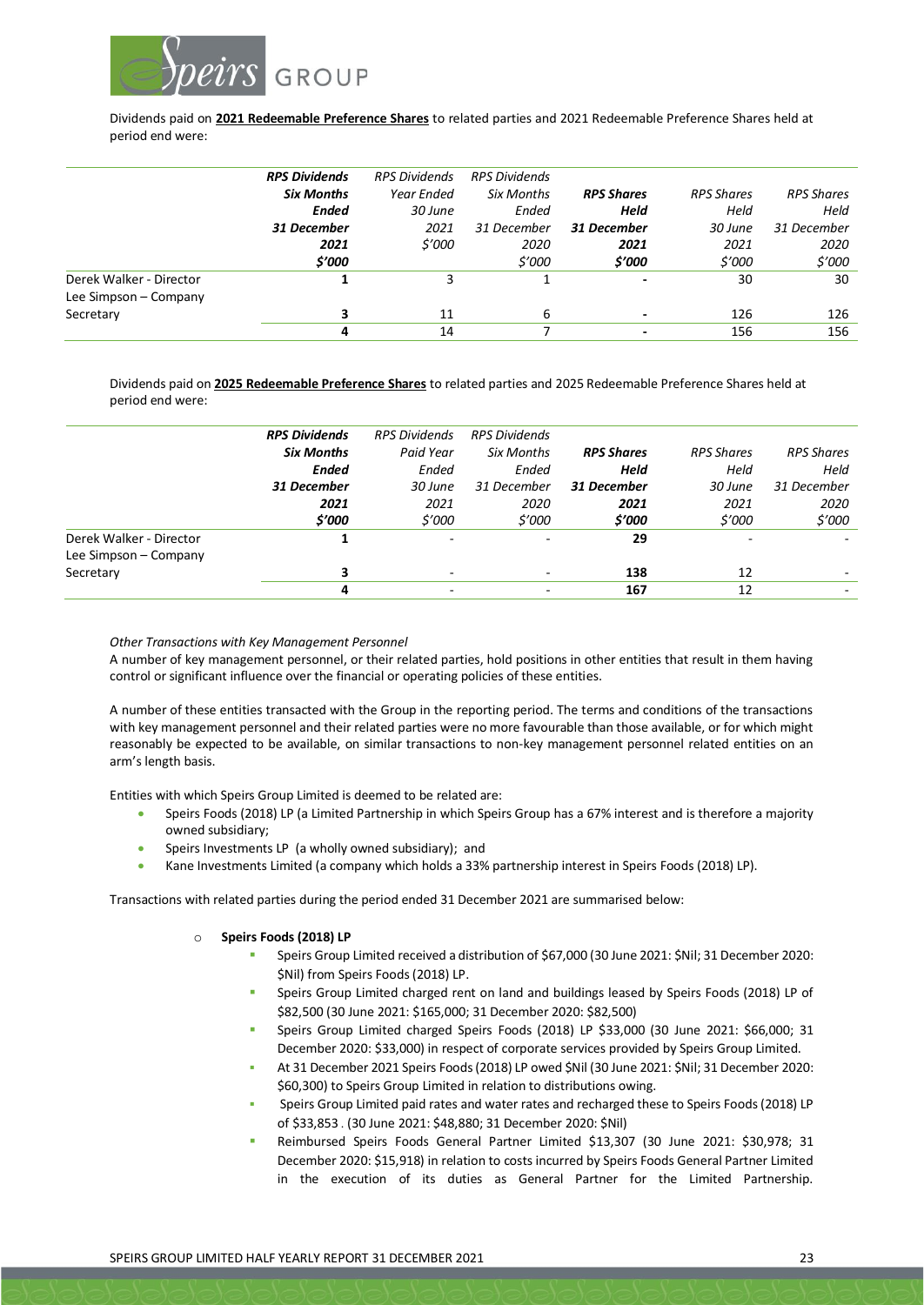

Dividends paid on **2021 Redeemable Preference Shares** to related parties and 2021 Redeemable Preference Shares held at period end were:

|                         | <b>RPS Dividends</b> | <b>RPS Dividends</b> | <b>RPS Dividends</b> |                          |                   |                   |
|-------------------------|----------------------|----------------------|----------------------|--------------------------|-------------------|-------------------|
|                         | <b>Six Months</b>    | Year Ended           | Six Months           | <b>RPS Shares</b>        | <b>RPS Shares</b> | <b>RPS Shares</b> |
|                         | <b>Ended</b>         | 30 June              | Ended                | <b>Held</b>              | Held              | Held              |
|                         | 31 December          | 2021                 | 31 December          | 31 December              | 30 June           | 31 December       |
|                         | 2021                 | \$'000               | 2020                 | 2021                     | 2021              | 2020              |
|                         | \$'000               |                      | \$'000               | \$'000                   | \$'000            | \$'000            |
| Derek Walker - Director |                      | 3                    |                      | $\blacksquare$           | 30                | 30                |
| Lee Simpson - Company   |                      |                      |                      |                          |                   |                   |
| Secretary               | 3                    | 11                   | 6                    | $\overline{\phantom{0}}$ | 126               | 126               |
|                         | 4                    | 14                   |                      |                          | 156               | 156               |

Dividends paid on **2025 Redeemable Preference Shares** to related parties and 2025 Redeemable Preference Shares held at period end were:

|                         | <b>RPS Dividends</b> | <b>RPS Dividends</b>         | <b>RPS Dividends</b> |                   |                   |                   |
|-------------------------|----------------------|------------------------------|----------------------|-------------------|-------------------|-------------------|
|                         | <b>Six Months</b>    | Paid Year                    | Six Months           | <b>RPS Shares</b> | <b>RPS Shares</b> | <b>RPS Shares</b> |
|                         | <b>Ended</b>         | Ended                        | Ended                | Held              | Held              | Held              |
|                         | 31 December          | 30 June                      | 31 December          | 31 December       | 30 June           | 31 December       |
|                         | 2021                 | 2021                         | 2020                 | 2021              | 2021              | 2020              |
|                         | \$'000               | \$'000                       | \$'000               | \$'000            | \$'000            | \$'000            |
| Derek Walker - Director |                      | $\qquad \qquad \blacksquare$ |                      | 29                |                   |                   |
| Lee Simpson - Company   |                      |                              |                      |                   |                   |                   |
| Secretary               | 3                    | $\overline{\phantom{0}}$     |                      | 138               | 12                |                   |
|                         | 4                    | $\overline{\phantom{0}}$     |                      | 167               | 12                |                   |

#### *Other Transactions with Key Management Personnel*

A number of key management personnel, or their related parties, hold positions in other entities that result in them having control or significant influence over the financial or operating policies of these entities.

A number of these entities transacted with the Group in the reporting period. The terms and conditions of the transactions with key management personnel and their related parties were no more favourable than those available, or for which might reasonably be expected to be available, on similar transactions to non-key management personnel related entities on an arm's length basis.

Entities with which Speirs Group Limited is deemed to be related are:

- Speirs Foods (2018) LP (a Limited Partnership in which Speirs Group has a 67% interest and is therefore a majority owned subsidiary;
- Speirs Investments LP (a wholly owned subsidiary); and
- Kane Investments Limited (a company which holds a 33% partnership interest in Speirs Foods (2018) LP).

Transactions with related parties during the period ended 31 December 2021 are summarised below:

#### o **Speirs Foods (2018) LP**

- Speirs Group Limited received a distribution of \$67,000 (30 June 2021: \$Nil; 31 December 2020: \$Nil) from Speirs Foods (2018) LP.
- Speirs Group Limited charged rent on land and buildings leased by Speirs Foods (2018) LP of \$82,500 (30 June 2021: \$165,000; 31 December 2020: \$82,500)
- Speirs Group Limited charged Speirs Foods (2018) LP \$33,000 (30 June 2021: \$66,000; 31 December 2020: \$33,000) in respect of corporate services provided by Speirs Group Limited.
- At 31 December 2021 Speirs Foods (2018) LP owed \$Nil (30 June 2021: \$Nil; 31 December 2020: \$60,300) to Speirs Group Limited in relation to distributions owing.
- Speirs Group Limited paid rates and water rates and recharged these to Speirs Foods (2018) LP of \$33,853 . (30 June 2021: \$48,880; 31 December 2020: \$Nil)
- Reimbursed Speirs Foods General Partner Limited \$13,307 (30 June 2021: \$30,978; 31 December 2020: \$15,918) in relation to costs incurred by Speirs Foods General Partner Limited in the execution of its duties as General Partner for the Limited Partnership.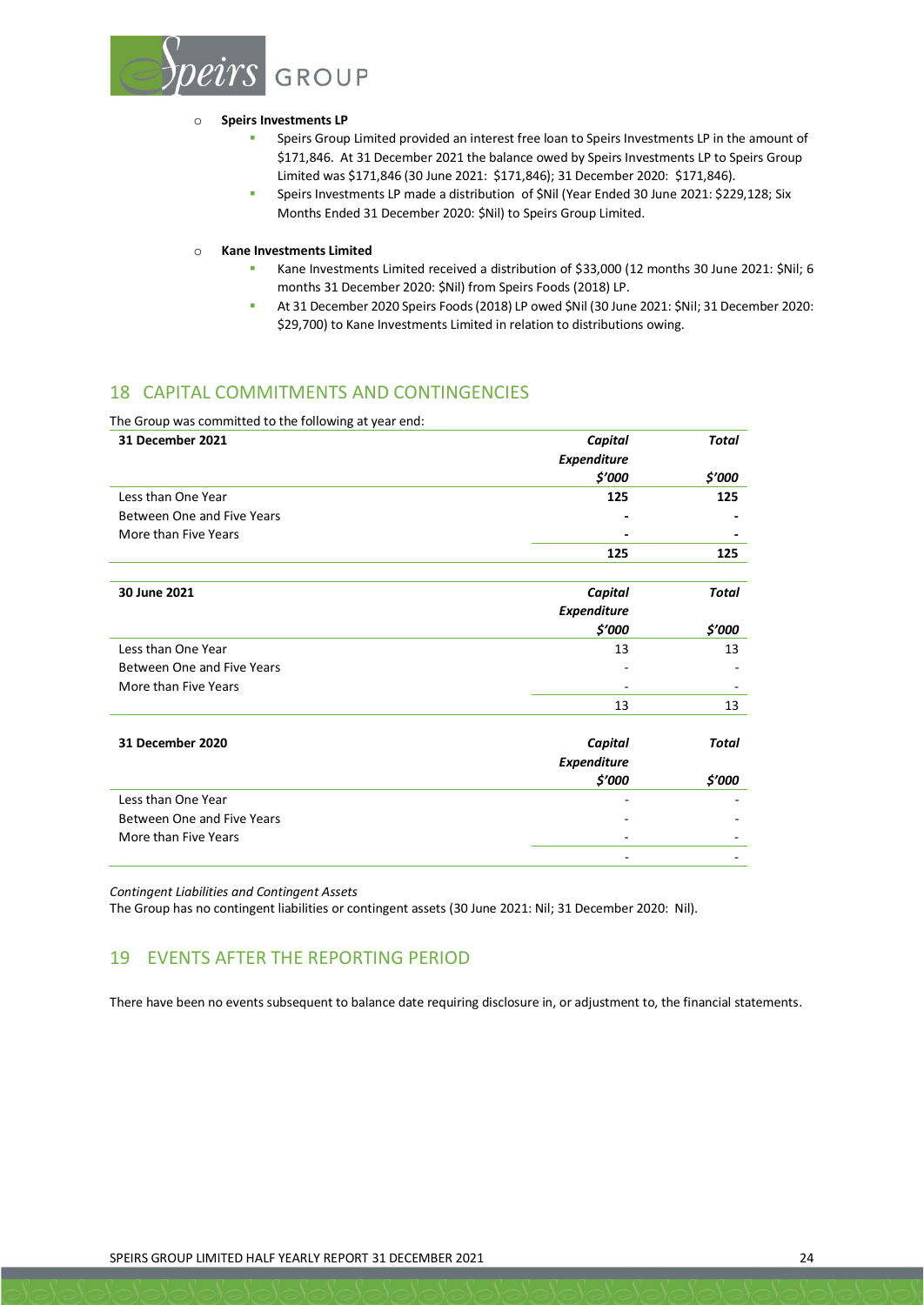

#### o **Speirs Investments LP**

- Speirs Group Limited provided an interest free loan to Speirs Investments LP in the amount of \$171,846. At 31 December 2021 the balance owed by Speirs Investments LP to Speirs Group Limited was \$171,846 (30 June 2021: \$171,846); 31 December 2020: \$171,846).
- Speirs Investments LP made a distribution of \$Nil (Year Ended 30 June 2021: \$229,128; Six Months Ended 31 December 2020: \$Nil) to Speirs Group Limited.

o **Kane Investments Limited**

- Kane Investments Limited received a distribution of \$33,000 (12 months 30 June 2021: \$Nil; 6 months 31 December 2020: \$Nil) from Speirs Foods (2018) LP.
- At 31 December 2020 Speirs Foods (2018) LP owed \$Nil (30 June 2021: \$Nil; 31 December 2020: \$29,700) to Kane Investments Limited in relation to distributions owing.

# 18 CAPITAL COMMITMENTS AND CONTINGENCIES

The Group was committed to the following at year end:

| 31 December 2021           | <b>Capital</b>     | <b>Total</b> |
|----------------------------|--------------------|--------------|
|                            | <b>Expenditure</b> |              |
|                            | \$'000             | \$'000       |
| Less than One Year         | 125                | 125          |
| Between One and Five Years |                    |              |
| More than Five Years       |                    |              |
|                            | 125                | 125          |
|                            |                    |              |
| 30 June 2021               | <b>Capital</b>     | <b>Total</b> |
|                            | <b>Expenditure</b> |              |
|                            | \$'000             | \$'000       |
| Less than One Year         | 13                 | 13           |
| Between One and Five Years |                    |              |
| More than Five Years       |                    |              |
|                            | 13                 | 13           |
|                            |                    |              |
| 31 December 2020           | <b>Capital</b>     | <b>Total</b> |
|                            | <b>Expenditure</b> |              |
|                            | \$'000             | \$'000       |
| Less than One Year         |                    |              |
| Between One and Five Years |                    |              |
| More than Five Years       |                    |              |
|                            |                    |              |

*Contingent Liabilities and Contingent Assets*

The Group has no contingent liabilities or contingent assets (30 June 2021: Nil; 31 December 2020: Nil).

# 19 EVENTS AFTER THE REPORTING PERIOD

There have been no events subsequent to balance date requiring disclosure in, or adjustment to, the financial statements.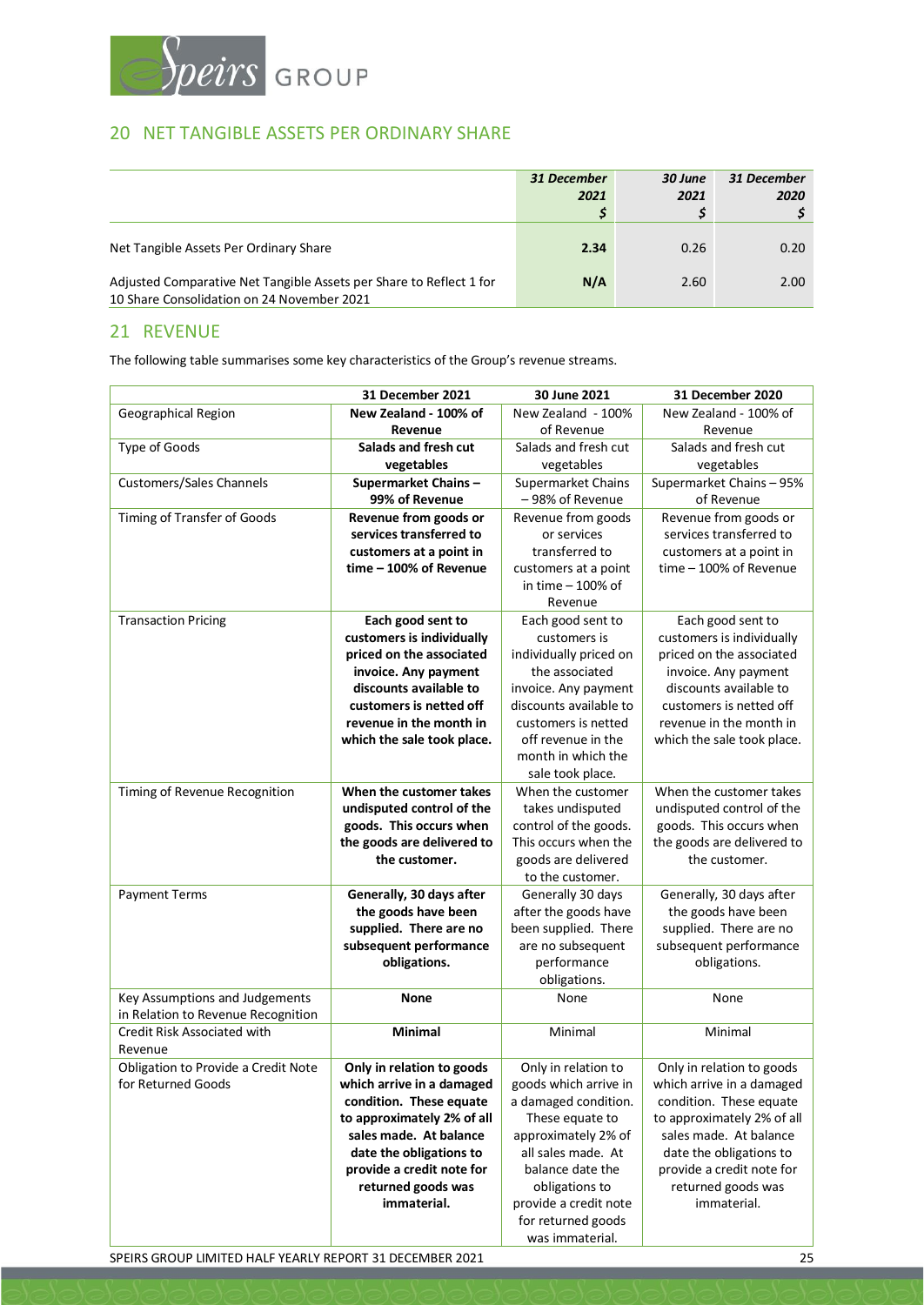

# 20 NET TANGIBLE ASSETS PER ORDINARY SHARE

|                                                                                                                   | 31 December<br>2021 | 30 June<br>2021 | 31 December<br>2020 |
|-------------------------------------------------------------------------------------------------------------------|---------------------|-----------------|---------------------|
| Net Tangible Assets Per Ordinary Share                                                                            | 2.34                | 0.26            | 0.20                |
| Adjusted Comparative Net Tangible Assets per Share to Reflect 1 for<br>10 Share Consolidation on 24 November 2021 | N/A                 | 2.60            | 2.00                |

# 21 REVENUE

The following table summarises some key characteristics of the Group's revenue streams.

|                                     | <b>31 December 2021</b>    | 30 June 2021                | 31 December 2020           |
|-------------------------------------|----------------------------|-----------------------------|----------------------------|
| Geographical Region                 | New Zealand - 100% of      | New Zealand - 100%          | New Zealand - 100% of      |
|                                     | Revenue                    | of Revenue                  | Revenue                    |
| Type of Goods                       | Salads and fresh cut       | Salads and fresh cut        | Salads and fresh cut       |
|                                     | vegetables                 | vegetables                  | vegetables                 |
| <b>Customers/Sales Channels</b>     | Supermarket Chains-        | Supermarket Chains          | Supermarket Chains - 95%   |
|                                     | 99% of Revenue             | -98% of Revenue             | of Revenue                 |
| Timing of Transfer of Goods         | Revenue from goods or      | Revenue from goods          | Revenue from goods or      |
|                                     | services transferred to    | or services                 | services transferred to    |
|                                     | customers at a point in    | transferred to              | customers at a point in    |
|                                     | time - 100% of Revenue     | customers at a point        | time - 100% of Revenue     |
|                                     |                            | in time - 100% of           |                            |
|                                     |                            | Revenue                     |                            |
| <b>Transaction Pricing</b>          | Each good sent to          | Each good sent to           | Each good sent to          |
|                                     | customers is individually  | customers is                | customers is individually  |
|                                     | priced on the associated   | individually priced on      | priced on the associated   |
|                                     | invoice. Any payment       | the associated              | invoice. Any payment       |
|                                     | discounts available to     | invoice. Any payment        | discounts available to     |
|                                     | customers is netted off    | discounts available to      | customers is netted off    |
|                                     | revenue in the month in    | customers is netted         | revenue in the month in    |
|                                     | which the sale took place. | off revenue in the          | which the sale took place. |
|                                     |                            | month in which the          |                            |
|                                     |                            | sale took place.            |                            |
| Timing of Revenue Recognition       | When the customer takes    | When the customer           | When the customer takes    |
|                                     | undisputed control of the  | takes undisputed            | undisputed control of the  |
|                                     | goods. This occurs when    | control of the goods.       | goods. This occurs when    |
|                                     | the goods are delivered to | This occurs when the        | the goods are delivered to |
|                                     | the customer.              | goods are delivered         | the customer.              |
|                                     |                            | to the customer.            |                            |
| <b>Payment Terms</b>                | Generally, 30 days after   | Generally 30 days           | Generally, 30 days after   |
|                                     | the goods have been        | after the goods have        | the goods have been        |
|                                     | supplied. There are no     | been supplied. There        | supplied. There are no     |
|                                     | subsequent performance     | are no subsequent           | subsequent performance     |
|                                     | obligations.               | performance<br>obligations. | obligations.               |
| Key Assumptions and Judgements      | <b>None</b>                | None                        | None                       |
| in Relation to Revenue Recognition  |                            |                             |                            |
| Credit Risk Associated with         | <b>Minimal</b>             | Minimal                     | Minimal                    |
| Revenue                             |                            |                             |                            |
| Obligation to Provide a Credit Note | Only in relation to goods  | Only in relation to         | Only in relation to goods  |
| for Returned Goods                  | which arrive in a damaged  | goods which arrive in       | which arrive in a damaged  |
|                                     | condition. These equate    | a damaged condition.        | condition. These equate    |
|                                     | to approximately 2% of all | These equate to             | to approximately 2% of all |
|                                     | sales made. At balance     | approximately 2% of         | sales made. At balance     |
|                                     | date the obligations to    | all sales made. At          | date the obligations to    |
|                                     | provide a credit note for  | balance date the            | provide a credit note for  |
|                                     | returned goods was         | obligations to              | returned goods was         |
|                                     | immaterial.                | provide a credit note       | immaterial.                |
|                                     |                            | for returned goods          |                            |
|                                     |                            | was immaterial.             |                            |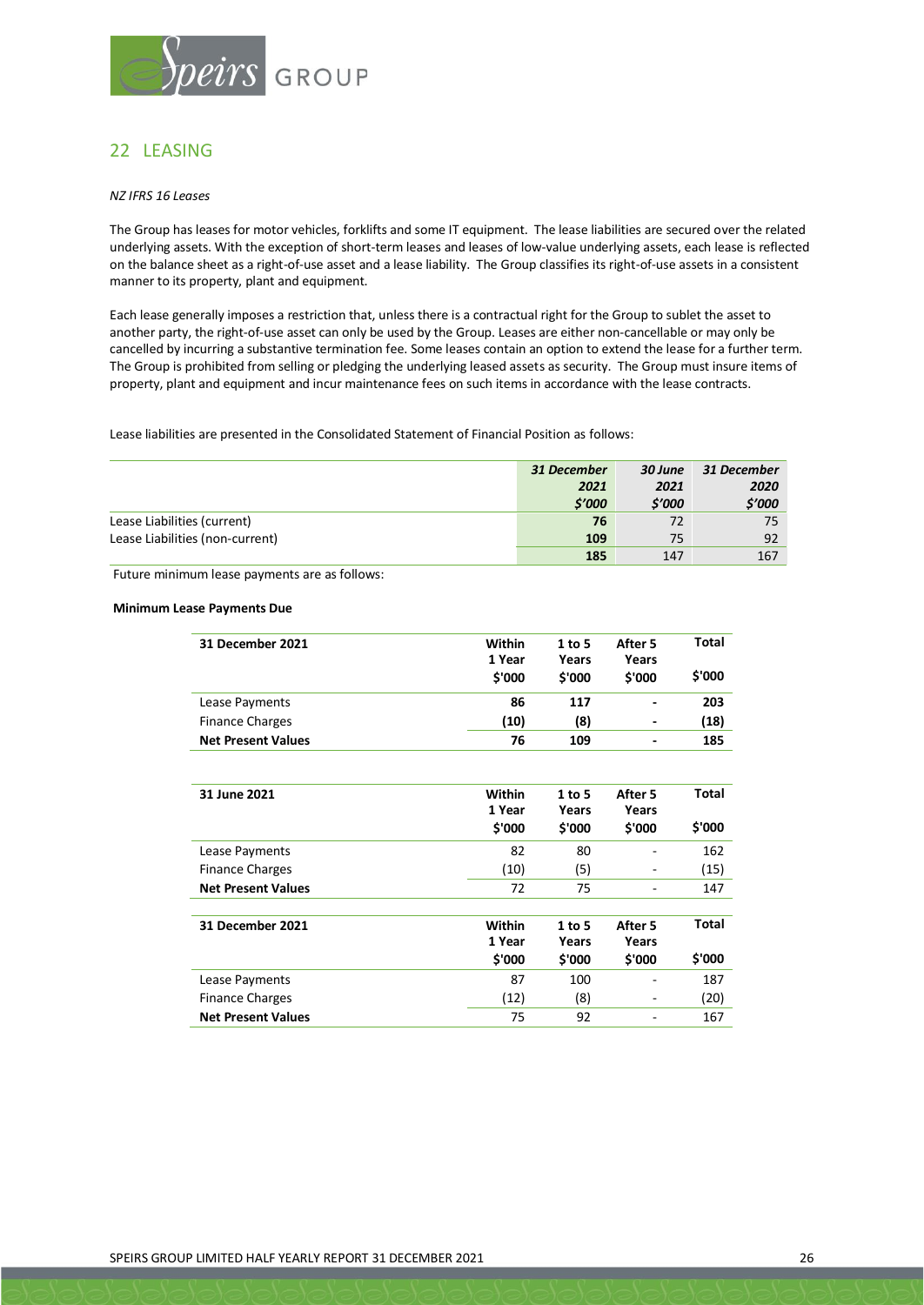

# 22 LEASING

#### *NZ IFRS 16 Leases*

The Group has leases for motor vehicles, forklifts and some IT equipment. The lease liabilities are secured over the related underlying assets. With the exception of short-term leases and leases of low-value underlying assets, each lease is reflected on the balance sheet as a right-of-use asset and a lease liability. The Group classifies its right-of-use assets in a consistent manner to its property, plant and equipment.

Each lease generally imposes a restriction that, unless there is a contractual right for the Group to sublet the asset to another party, the right-of-use asset can only be used by the Group. Leases are either non-cancellable or may only be cancelled by incurring a substantive termination fee. Some leases contain an option to extend the lease for a further term. The Group is prohibited from selling or pledging the underlying leased assets as security. The Group must insure items of property, plant and equipment and incur maintenance fees on such items in accordance with the lease contracts.

Lease liabilities are presented in the Consolidated Statement of Financial Position as follows:

|                                 | 31 December | 30 June | 31 December |
|---------------------------------|-------------|---------|-------------|
|                                 | 2021        | 2021    | 2020        |
|                                 | \$'000      | \$'000  | \$'000      |
| Lease Liabilities (current)     | 76          | 72      | 75          |
| Lease Liabilities (non-current) | 109         | 75      | 92          |
|                                 | 185         | 147     | 167         |

Future minimum lease payments are as follows:

#### **Minimum Lease Payments Due**

| 31 December 2021          | Within | $1$ to 5 | After 5 | <b>Total</b> |
|---------------------------|--------|----------|---------|--------------|
|                           | 1 Year | Years    | Years   |              |
|                           | \$'000 | \$'000   | \$'000  | \$'000       |
| Lease Payments            | 86     | 117      |         | 203          |
| <b>Finance Charges</b>    | (10)   | (8)      |         | (18)         |
| <b>Net Present Values</b> | 76     | 109      | -       | 185          |
|                           |        |          |         |              |
| 31 June 2021              | Within | $1$ to 5 | After 5 | <b>Total</b> |
|                           | 1 Year | Years    | Years   |              |
|                           | \$'000 | \$'000   | \$'000  | \$'000       |
| Lease Payments            | 82     | 80       |         | 162          |
| <b>Finance Charges</b>    | (10)   | (5)      |         | (15)         |
| <b>Net Present Values</b> | 72     | 75       | ۰       | 147          |
|                           |        |          |         |              |
| 31 December 2021          | Within | $1$ to 5 | After 5 | <b>Total</b> |
|                           | 1 Year | Years    | Years   |              |
|                           | \$'000 | \$'000   | \$'000  | \$'000       |
| Lease Payments            | 87     | 100      |         | 187          |
| <b>Finance Charges</b>    | (12)   | (8)      |         | (20)         |
| <b>Net Present Values</b> | 75     | 92       |         | 167          |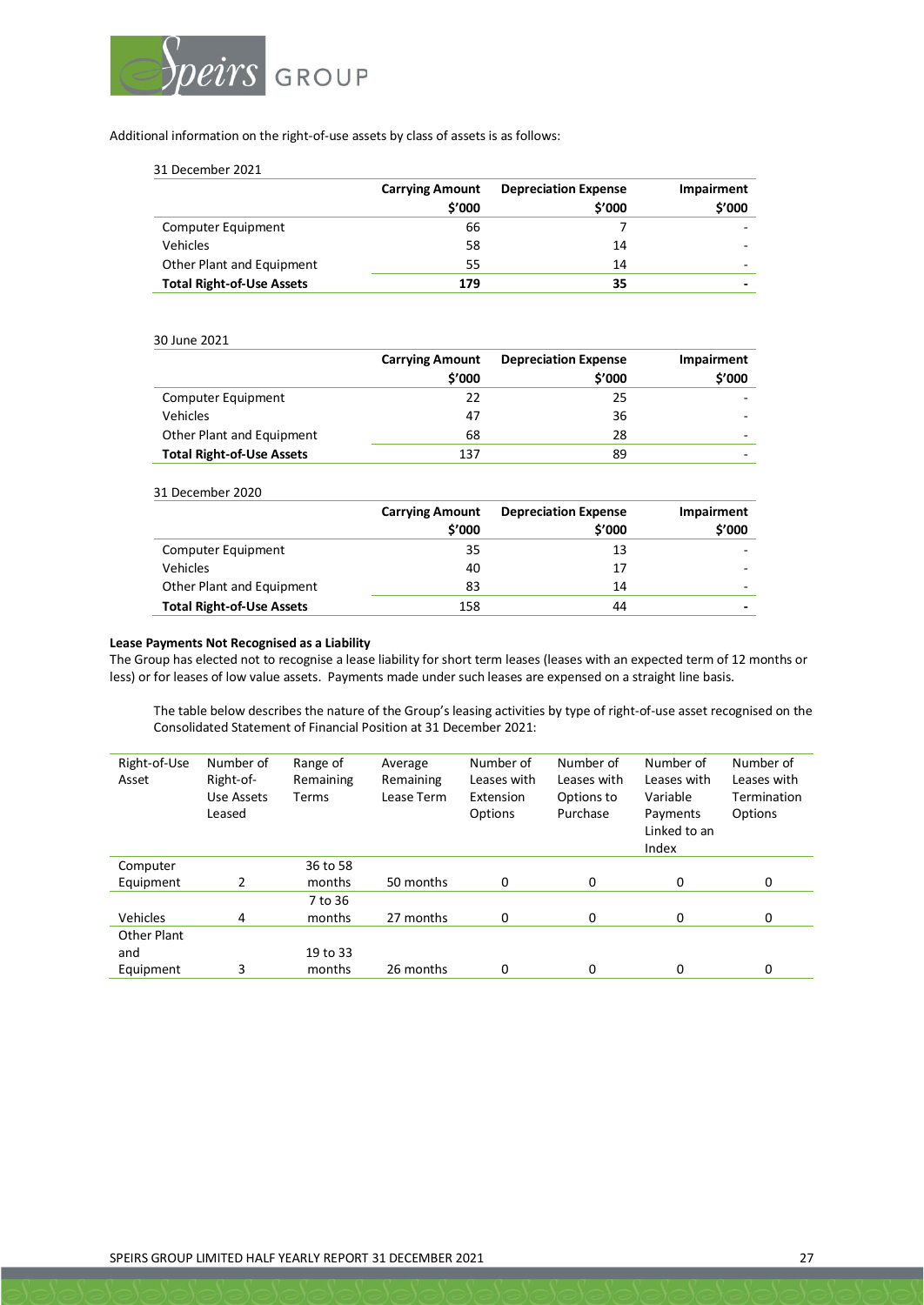

Additional information on the right-of-use assets by class of assets is as follows:

31 December 2021

|                                  | <b>Carrying Amount</b><br>\$'000 | <b>Depreciation Expense</b><br>\$'000 | Impairment<br>\$'000     |
|----------------------------------|----------------------------------|---------------------------------------|--------------------------|
| Computer Equipment               | 66                               |                                       | $\overline{\phantom{0}}$ |
| Vehicles                         | 58                               | 14                                    | $\overline{\phantom{0}}$ |
| Other Plant and Equipment        | 55                               | 14                                    | $\overline{\phantom{0}}$ |
| <b>Total Right-of-Use Assets</b> | 179                              | 35                                    | -                        |

#### 30 June 2021

|                                  | <b>Carrying Amount</b> | <b>Depreciation Expense</b> | Impairment |
|----------------------------------|------------------------|-----------------------------|------------|
|                                  | \$'000                 | \$′000                      | \$'000     |
| Computer Equipment               | 22                     | 25                          |            |
| Vehicles                         | 47                     | 36                          |            |
| Other Plant and Equipment        | 68                     | 28                          |            |
| <b>Total Right-of-Use Assets</b> | 137                    | 89                          |            |

31 December 2020

|                                  | <b>Carrying Amount</b> | <b>Depreciation Expense</b> | Impairment |
|----------------------------------|------------------------|-----------------------------|------------|
|                                  | \$'000                 | \$'000                      | \$'000     |
| Computer Equipment               | 35                     | 13                          |            |
| <b>Vehicles</b>                  | 40                     | 17                          |            |
| Other Plant and Equipment        | 83                     | 14                          |            |
| <b>Total Right-of-Use Assets</b> | 158                    | 44                          |            |

#### **Lease Payments Not Recognised as a Liability**

The Group has elected not to recognise a lease liability for short term leases (leases with an expected term of 12 months or less) or for leases of low value assets. Payments made under such leases are expensed on a straight line basis.

The table below describes the nature of the Group's leasing activities by type of right-of-use asset recognised on the Consolidated Statement of Financial Position at 31 December 2021:

| Right-of-Use<br>Asset | Number of<br>Right-of-<br>Use Assets<br>Leased | Range of<br>Remaining<br>Terms | Average<br>Remaining<br>Lease Term | Number of<br>Leases with<br>Extension<br>Options | Number of<br>Leases with<br>Options to<br>Purchase | Number of<br>Leases with<br>Variable<br>Payments<br>Linked to an<br>Index | Number of<br>Leases with<br>Termination<br>Options |
|-----------------------|------------------------------------------------|--------------------------------|------------------------------------|--------------------------------------------------|----------------------------------------------------|---------------------------------------------------------------------------|----------------------------------------------------|
| Computer              |                                                | 36 to 58                       |                                    |                                                  |                                                    |                                                                           |                                                    |
| Equipment             | 2                                              | months                         | 50 months                          | 0                                                | 0                                                  | 0                                                                         | 0                                                  |
|                       |                                                | 7 to 36                        |                                    |                                                  |                                                    |                                                                           |                                                    |
| Vehicles              | 4                                              | months                         | 27 months                          | 0                                                | 0                                                  | 0                                                                         | 0                                                  |
| <b>Other Plant</b>    |                                                |                                |                                    |                                                  |                                                    |                                                                           |                                                    |
| and                   |                                                | 19 to 33                       |                                    |                                                  |                                                    |                                                                           |                                                    |
| Equipment             | 3                                              | months                         | 26 months                          | 0                                                | 0                                                  | 0                                                                         | 0                                                  |